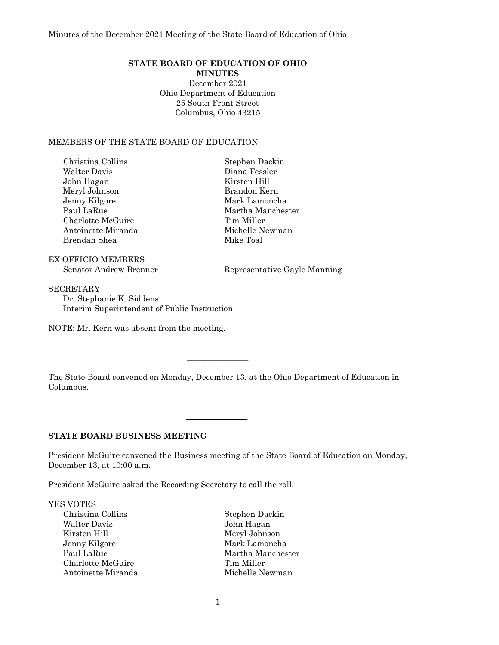# **STATE BOARD OF EDUCATION OF OHIO**

**MINUTES** December 2021 Ohio Department of Education 25 South Front Street Columbus, Ohio 43215

#### MEMBERS OF THE STATE BOARD OF EDUCATION

| Christina Collins  | Stephen Dackin    |
|--------------------|-------------------|
| Walter Davis       | Diana Fessler     |
| John Hagan         | Kirsten Hill      |
| Meryl Johnson      | Brandon Kern      |
| Jenny Kilgore      | Mark Lamoncha     |
| Paul LaRue         | Martha Manchester |
| Charlotte McGuire  | Tim Miller        |
| Antoinette Miranda | Michelle Newman   |
| Brendan Shea       | Mike Toal         |
|                    |                   |

EX OFFICIO MEMBERS

Senator Andrew Brenner Representative Gayle Manning

**SECRETARY** Dr. Stephanie K. Siddens Interim Superintendent of Public Instruction

NOTE: Mr. Kern was absent from the meeting.

The State Board convened on Monday, December 13, at the Ohio Department of Education in Columbus.

 $\overline{\phantom{a}}$  , where  $\overline{\phantom{a}}$ 

 $\overline{\phantom{a}}$  , where  $\overline{\phantom{a}}$ 

# **STATE BOARD BUSINESS MEETING**

President McGuire convened the Business meeting of the State Board of Education on Monday, December 13, at 10:00 a.m.

President McGuire asked the Recording Secretary to call the roll.

YES VOTES

Christina Collins (Stephen Dackin )<br>
Walter Davis (Stephen Dackin )<br>
John Hagan Kirsten Hill Meryl Johnson Jenny Kilgore Mark Lamoncha Paul LaRue Martha Manchester Charlotte McGuire Tim Miller Antoinette Miranda Michelle Newman

John Hagan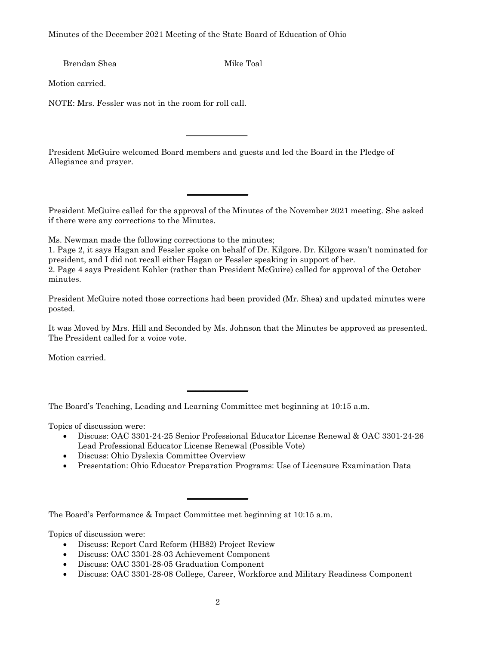Brendan Shea Mike Toal

Motion carried.

NOTE: Mrs. Fessler was not in the room for roll call.

President McGuire welcomed Board members and guests and led the Board in the Pledge of Allegiance and prayer.

 $\overline{\phantom{a}}$  , where  $\overline{\phantom{a}}$ 

 $\overline{\phantom{a}}$  , where  $\overline{\phantom{a}}$ 

President McGuire called for the approval of the Minutes of the November 2021 meeting. She asked if there were any corrections to the Minutes.

Ms. Newman made the following corrections to the minutes;

1. Page 2, it says Hagan and Fessler spoke on behalf of Dr. Kilgore. Dr. Kilgore wasn't nominated for president, and I did not recall either Hagan or Fessler speaking in support of her. 2. Page 4 says President Kohler (rather than President McGuire) called for approval of the October minutes.

President McGuire noted those corrections had been provided (Mr. Shea) and updated minutes were posted.

It was Moved by Mrs. Hill and Seconded by Ms. Johnson that the Minutes be approved as presented. The President called for a voice vote.

Motion carried.

The Board's Teaching, Leading and Learning Committee met beginning at 10:15 a.m.

 $\overline{\phantom{a}}$  , where  $\overline{\phantom{a}}$ 

 $\overline{\phantom{a}}$  , where  $\overline{\phantom{a}}$ 

Topics of discussion were:

- Discuss: OAC 3301-24-25 Senior Professional Educator License Renewal & OAC 3301-24-26 Lead Professional Educator License Renewal (Possible Vote)
- Discuss: Ohio Dyslexia Committee Overview
- Presentation: Ohio Educator Preparation Programs: Use of Licensure Examination Data

The Board's Performance & Impact Committee met beginning at 10:15 a.m.

Topics of discussion were:

- Discuss: Report Card Reform (HB82) Project Review
- Discuss: OAC 3301-28-03 Achievement Component
- Discuss: OAC 3301-28-05 Graduation Component
- Discuss: OAC 3301-28-08 College, Career, Workforce and Military Readiness Component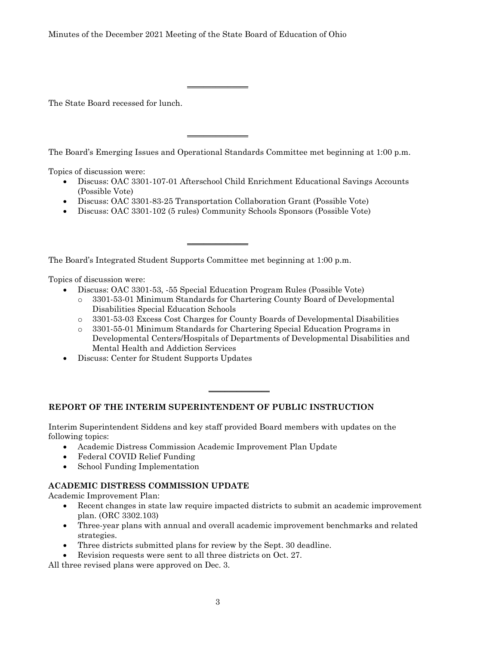The State Board recessed for lunch.

The Board's Emerging Issues and Operational Standards Committee met beginning at 1:00 p.m.

Topics of discussion were:

- Discuss: OAC 3301-107-01 Afterschool Child Enrichment Educational Savings Accounts (Possible Vote)
- Discuss: OAC 3301-83-25 Transportation Collaboration Grant (Possible Vote)

\_\_\_\_\_\_\_\_\_\_\_\_\_\_\_

 $\overline{\phantom{a}}$  , where  $\overline{\phantom{a}}$  , where  $\overline{\phantom{a}}$ 

• Discuss: OAC 3301-102 (5 rules) Community Schools Sponsors (Possible Vote)

 $\overline{\phantom{a}}$  , where  $\overline{\phantom{a}}$ 

The Board's Integrated Student Supports Committee met beginning at 1:00 p.m.

Topics of discussion were:

- Discuss: OAC 3301-53, -55 Special Education Program Rules (Possible Vote)
	- o 3301-53-01 Minimum Standards for Chartering County Board of Developmental Disabilities Special Education Schools
	- o 3301-53-03 Excess Cost Charges for County Boards of Developmental Disabilities

 $\overline{\phantom{a}}$  , where  $\overline{\phantom{a}}$ 

- o 3301-55-01 Minimum Standards for Chartering Special Education Programs in Developmental Centers/Hospitals of Departments of Developmental Disabilities and Mental Health and Addiction Services
- Discuss: Center for Student Supports Updates

# **REPORT OF THE INTERIM SUPERINTENDENT OF PUBLIC INSTRUCTION**

Interim Superintendent Siddens and key staff provided Board members with updates on the following topics:

- Academic Distress Commission Academic Improvement Plan Update
- Federal COVID Relief Funding
- School Funding Implementation

# **ACADEMIC DISTRESS COMMISSION UPDATE**

Academic Improvement Plan:

- Recent changes in state law require impacted districts to submit an academic improvement plan. (ORC 3302.103)
- Three-year plans with annual and overall academic improvement benchmarks and related strategies.
- Three districts submitted plans for review by the Sept. 30 deadline.
- Revision requests were sent to all three districts on Oct. 27.

All three revised plans were approved on Dec. 3.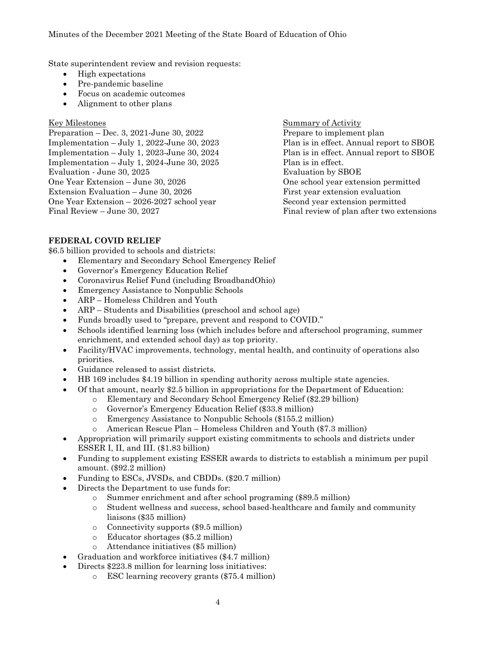State superintendent review and revision requests:

- High expectations
- Pre-pandemic baseline
- Focus on academic outcomes
- Alignment to other plans

Preparation – Dec. 3, 2021-June 30, 2022 Prepare to implement plan Implementation – July 1, 2022-June 30, 2023 Plan is in effect. Annual report to SBOE Implementation – July 1, 2023-June 30, 2024 Plan is in effect. Annual report to SBOE Implementation – July 1, 2024-June 30, 2025 Plan is in effect. Evaluation - June 30, 2025 **Evaluation by SBOE** One Year Extension – June 30, 2026 One school year extension permitted Extension Evaluation – June 30, 2026 First year extension evaluation One Year Extension – 2026-2027 school year Second year extension permitted Final Review – June 30, 2027 Final review of plan after two extensions

Key Milestones Summary of Activity

# **FEDERAL COVID RELIEF**

\$6.5 billion provided to schools and districts:

- Elementary and Secondary School Emergency Relief
- Governor's Emergency Education Relief
- Coronavirus Relief Fund (including BroadbandOhio)
- Emergency Assistance to Nonpublic Schools
- ARP Homeless Children and Youth
- ARP Students and Disabilities (preschool and school age)
- Funds broadly used to "prepare, prevent and respond to COVID."
- Schools identified learning loss (which includes before and afterschool programing, summer enrichment, and extended school day) as top priority.
- Facility/HVAC improvements, technology, mental health, and continuity of operations also priorities.
- Guidance released to assist districts.
- HB 169 includes \$4.19 billion in spending authority across multiple state agencies.
- Of that amount, nearly \$2.5 billion in appropriations for the Department of Education:
	- o Elementary and Secondary School Emergency Relief (\$2.29 billion)
		- o Governor's Emergency Education Relief (\$33.8 million)
		- o Emergency Assistance to Nonpublic Schools (\$155.2 million)
		- American Rescue Plan Homeless Children and Youth (\$7.3 million)
- Appropriation will primarily support existing commitments to schools and districts under ESSER I, II, and III. (\$1.83 billion)
- Funding to supplement existing ESSER awards to districts to establish a minimum per pupil amount. (\$92.2 million)
- Funding to ESCs, JVSDs, and CBDDs. (\$20.7 million)
- Directs the Department to use funds for:
	- o Summer enrichment and after school programing (\$89.5 million)
	- o Student wellness and success, school based-healthcare and family and community liaisons (\$35 million)
	- o Connectivity supports (\$9.5 million)
	- o Educator shortages (\$5.2 million)
	- o Attendance initiatives (\$5 million)
- Graduation and workforce initiatives (\$4.7 million)
- Directs \$223.8 million for learning loss initiatives:
	- o ESC learning recovery grants (\$75.4 million)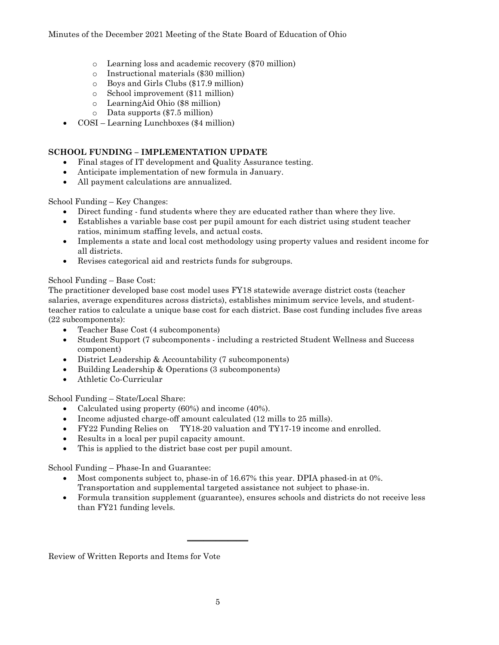- o Learning loss and academic recovery (\$70 million)
- o Instructional materials (\$30 million)
- o Boys and Girls Clubs (\$17.9 million)
- o School improvement (\$11 million)
- o LearningAid Ohio (\$8 million)
- o Data supports (\$7.5 million)
- COSI Learning Lunchboxes (\$4 million)

# **SCHOOL FUNDING – IMPLEMENTATION UPDATE**

- Final stages of IT development and Quality Assurance testing.
- Anticipate implementation of new formula in January.
- All payment calculations are annualized.

School Funding – Key Changes:

- Direct funding fund students where they are educated rather than where they live.
- Establishes a variable base cost per pupil amount for each district using student teacher ratios, minimum staffing levels, and actual costs.
- Implements a state and local cost methodology using property values and resident income for all districts.
- Revises categorical aid and restricts funds for subgroups.

# School Funding – Base Cost:

The practitioner developed base cost model uses FY18 statewide average district costs (teacher salaries, average expenditures across districts), establishes minimum service levels, and studentteacher ratios to calculate a unique base cost for each district. Base cost funding includes five areas (22 subcomponents):

- Teacher Base Cost (4 subcomponents)
- Student Support (7 subcomponents including a restricted Student Wellness and Success component)
- District Leadership & Accountability (7 subcomponents)
- Building Leadership & Operations (3 subcomponents)
- Athletic Co-Curricular

School Funding – State/Local Share:

- Calculated using property (60%) and income (40%).
- Income adjusted charge-off amount calculated (12 mills to 25 mills).
- FY22 Funding Relies on TY18-20 valuation and TY17-19 income and enrolled.
- Results in a local per pupil capacity amount.
- This is applied to the district base cost per pupil amount.

School Funding – Phase-In and Guarantee:

- Most components subject to, phase-in of 16.67% this year. DPIA phased-in at 0%. Transportation and supplemental targeted assistance not subject to phase-in.
- Formula transition supplement (guarantee), ensures schools and districts do not receive less than FY21 funding levels.

Review of Written Reports and Items for Vote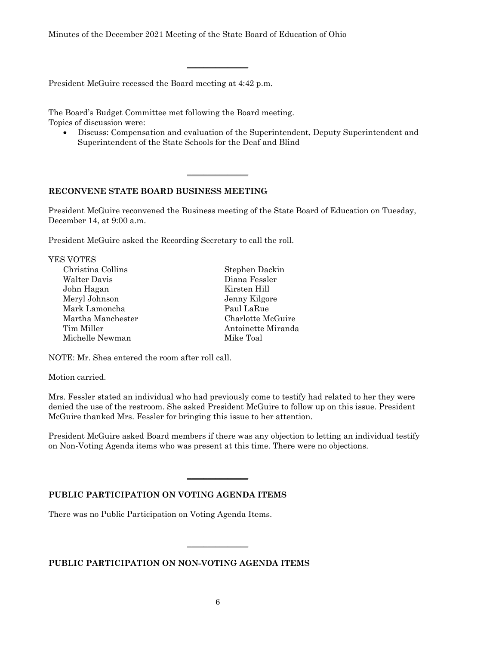\_\_\_\_\_\_\_\_\_\_\_\_\_\_\_

\_\_\_\_\_\_\_\_\_\_\_\_\_\_\_

President McGuire recessed the Board meeting at 4:42 p.m.

The Board's Budget Committee met following the Board meeting. Topics of discussion were:

• Discuss: Compensation and evaluation of the Superintendent, Deputy Superintendent and Superintendent of the State Schools for the Deaf and Blind

#### **RECONVENE STATE BOARD BUSINESS MEETING**

President McGuire reconvened the Business meeting of the State Board of Education on Tuesday, December 14, at 9:00 a.m.

President McGuire asked the Recording Secretary to call the roll.

| <b>YES VOTES</b>  |                    |
|-------------------|--------------------|
| Christina Collins | Stephen Dackin     |
| Walter Davis      | Diana Fessler      |
| John Hagan        | Kirsten Hill       |
| Meryl Johnson     | Jenny Kilgore      |
| Mark Lamoncha     | Paul LaRue         |
| Martha Manchester | Charlotte McGuire  |
| Tim Miller        | Antoinette Miranda |
| Michelle Newman   | Mike Toal          |
|                   |                    |

NOTE: Mr. Shea entered the room after roll call.

Motion carried.

Mrs. Fessler stated an individual who had previously come to testify had related to her they were denied the use of the restroom. She asked President McGuire to follow up on this issue. President McGuire thanked Mrs. Fessler for bringing this issue to her attention.

President McGuire asked Board members if there was any objection to letting an individual testify on Non-Voting Agenda items who was present at this time. There were no objections.

 $\overline{\phantom{a}}$  , where  $\overline{\phantom{a}}$ 

#### **PUBLIC PARTICIPATION ON VOTING AGENDA ITEMS**

There was no Public Participation on Voting Agenda Items.

**PUBLIC PARTICIPATION ON NON-VOTING AGENDA ITEMS**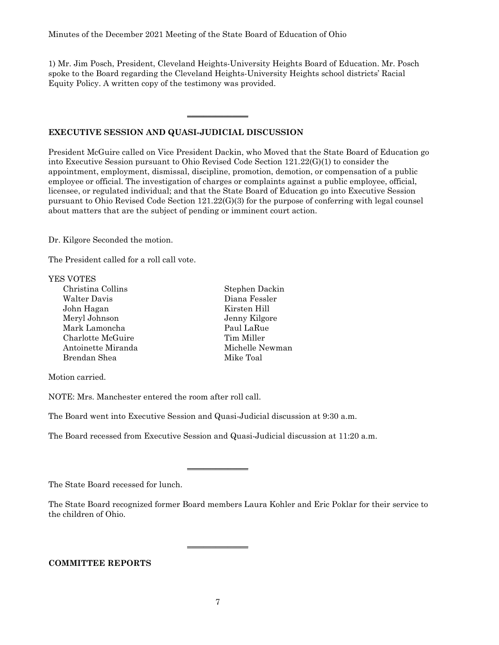1) Mr. Jim Posch, President, Cleveland Heights-University Heights Board of Education. Mr. Posch spoke to the Board regarding the Cleveland Heights-University Heights school districts' Racial Equity Policy. A written copy of the testimony was provided.

 $\overline{\phantom{a}}$  , where  $\overline{\phantom{a}}$  , where  $\overline{\phantom{a}}$ 

# **EXECUTIVE SESSION AND QUASI-JUDICIAL DISCUSSION**

President McGuire called on Vice President Dackin, who Moved that the State Board of Education go into Executive Session pursuant to Ohio Revised Code Section 121.22(G)(1) to consider the appointment, employment, dismissal, discipline, promotion, demotion, or compensation of a public employee or official. The investigation of charges or complaints against a public employee, official, licensee, or regulated individual; and that the State Board of Education go into Executive Session pursuant to Ohio Revised Code Section 121.22(G)(3) for the purpose of conferring with legal counsel about matters that are the subject of pending or imminent court action.

Dr. Kilgore Seconded the motion.

The President called for a roll call vote.

#### YES VOTES

| Christina Collins  | Stephen Dackin  |
|--------------------|-----------------|
| Walter Davis       | Diana Fessler   |
| John Hagan         | Kirsten Hill    |
| Meryl Johnson      | Jenny Kilgore   |
| Mark Lamoncha      | Paul LaRue      |
| Charlotte McGuire  | Tim Miller      |
| Antoinette Miranda | Michelle Newman |
| Brendan Shea       | Mike Toal       |
|                    |                 |

Motion carried.

NOTE: Mrs. Manchester entered the room after roll call.

The Board went into Executive Session and Quasi-Judicial discussion at 9:30 a.m.

The Board recessed from Executive Session and Quasi-Judicial discussion at 11:20 a.m.

 $\overline{\phantom{a}}$  , where  $\overline{\phantom{a}}$ 

The State Board recessed for lunch.

The State Board recognized former Board members Laura Kohler and Eric Poklar for their service to the children of Ohio.

# **COMMITTEE REPORTS**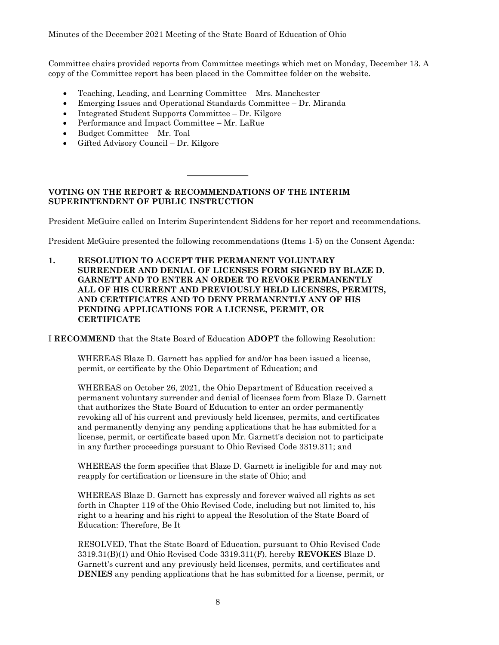Committee chairs provided reports from Committee meetings which met on Monday, December 13. A copy of the Committee report has been placed in the Committee folder on the website.

- Teaching, Leading, and Learning Committee Mrs. Manchester
- Emerging Issues and Operational Standards Committee Dr. Miranda
- Integrated Student Supports Committee Dr. Kilgore
- Performance and Impact Committee Mr. LaRue
- Budget Committee Mr. Toal
- Gifted Advisory Council Dr. Kilgore

#### **VOTING ON THE REPORT & RECOMMENDATIONS OF THE INTERIM SUPERINTENDENT OF PUBLIC INSTRUCTION**

 $\overline{\phantom{a}}$  , where  $\overline{\phantom{a}}$ 

President McGuire called on Interim Superintendent Siddens for her report and recommendations.

President McGuire presented the following recommendations (Items 1-5) on the Consent Agenda:

**1. RESOLUTION TO ACCEPT THE PERMANENT VOLUNTARY SURRENDER AND DENIAL OF LICENSES FORM SIGNED BY BLAZE D. GARNETT AND TO ENTER AN ORDER TO REVOKE PERMANENTLY ALL OF HIS CURRENT AND PREVIOUSLY HELD LICENSES, PERMITS, AND CERTIFICATES AND TO DENY PERMANENTLY ANY OF HIS PENDING APPLICATIONS FOR A LICENSE, PERMIT, OR CERTIFICATE**

I **RECOMMEND** that the State Board of Education **ADOPT** the following Resolution:

WHEREAS Blaze D. Garnett has applied for and/or has been issued a license, permit, or certificate by the Ohio Department of Education; and

WHEREAS on October 26, 2021, the Ohio Department of Education received a permanent voluntary surrender and denial of licenses form from Blaze D. Garnett that authorizes the State Board of Education to enter an order permanently revoking all of his current and previously held licenses, permits, and certificates and permanently denying any pending applications that he has submitted for a license, permit, or certificate based upon Mr. Garnett's decision not to participate in any further proceedings pursuant to Ohio Revised Code 3319.311; and

WHEREAS the form specifies that Blaze D. Garnett is ineligible for and may not reapply for certification or licensure in the state of Ohio; and

WHEREAS Blaze D. Garnett has expressly and forever waived all rights as set forth in Chapter 119 of the Ohio Revised Code, including but not limited to, his right to a hearing and his right to appeal the Resolution of the State Board of Education: Therefore, Be It

RESOLVED, That the State Board of Education, pursuant to Ohio Revised Code 3319.31(B)(1) and Ohio Revised Code 3319.311(F), hereby **REVOKES** Blaze D. Garnett's current and any previously held licenses, permits, and certificates and **DENIES** any pending applications that he has submitted for a license, permit, or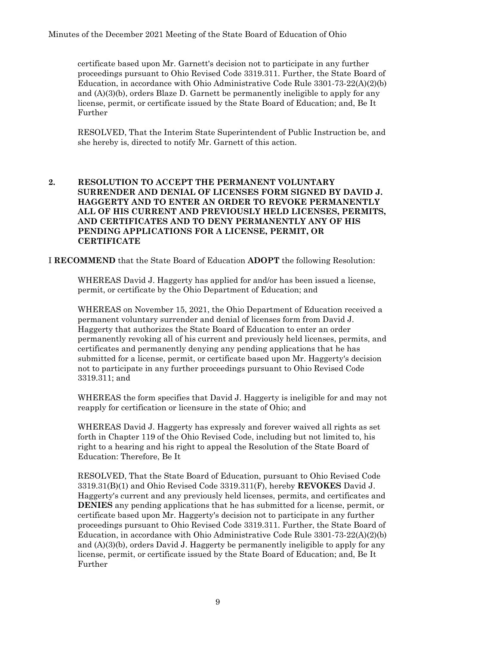certificate based upon Mr. Garnett's decision not to participate in any further proceedings pursuant to Ohio Revised Code 3319.311. Further, the State Board of Education, in accordance with Ohio Administrative Code Rule 3301-73-22(A)(2)(b) and (A)(3)(b), orders Blaze D. Garnett be permanently ineligible to apply for any license, permit, or certificate issued by the State Board of Education; and, Be It Further

RESOLVED, That the Interim State Superintendent of Public Instruction be, and she hereby is, directed to notify Mr. Garnett of this action.

# **2. RESOLUTION TO ACCEPT THE PERMANENT VOLUNTARY SURRENDER AND DENIAL OF LICENSES FORM SIGNED BY DAVID J. HAGGERTY AND TO ENTER AN ORDER TO REVOKE PERMANENTLY ALL OF HIS CURRENT AND PREVIOUSLY HELD LICENSES, PERMITS, AND CERTIFICATES AND TO DENY PERMANENTLY ANY OF HIS PENDING APPLICATIONS FOR A LICENSE, PERMIT, OR CERTIFICATE**

I **RECOMMEND** that the State Board of Education **ADOPT** the following Resolution:

WHEREAS David J. Haggerty has applied for and/or has been issued a license, permit, or certificate by the Ohio Department of Education; and

WHEREAS on November 15, 2021, the Ohio Department of Education received a permanent voluntary surrender and denial of licenses form from David J. Haggerty that authorizes the State Board of Education to enter an order permanently revoking all of his current and previously held licenses, permits, and certificates and permanently denying any pending applications that he has submitted for a license, permit, or certificate based upon Mr. Haggerty's decision not to participate in any further proceedings pursuant to Ohio Revised Code 3319.311; and

WHEREAS the form specifies that David J. Haggerty is ineligible for and may not reapply for certification or licensure in the state of Ohio; and

WHEREAS David J. Haggerty has expressly and forever waived all rights as set forth in Chapter 119 of the Ohio Revised Code, including but not limited to, his right to a hearing and his right to appeal the Resolution of the State Board of Education: Therefore, Be It

RESOLVED, That the State Board of Education, pursuant to Ohio Revised Code 3319.31(B)(1) and Ohio Revised Code 3319.311(F), hereby **REVOKES** David J. Haggerty's current and any previously held licenses, permits, and certificates and **DENIES** any pending applications that he has submitted for a license, permit, or certificate based upon Mr. Haggerty's decision not to participate in any further proceedings pursuant to Ohio Revised Code 3319.311. Further, the State Board of Education, in accordance with Ohio Administrative Code Rule 3301-73-22(A)(2)(b) and (A)(3)(b), orders David J. Haggerty be permanently ineligible to apply for any license, permit, or certificate issued by the State Board of Education; and, Be It Further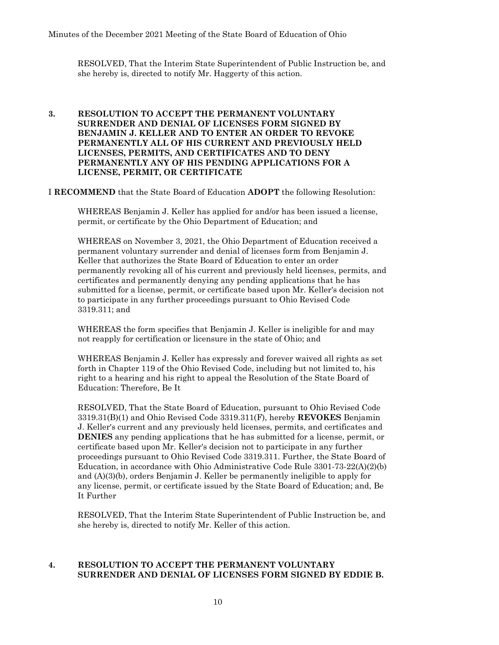RESOLVED, That the Interim State Superintendent of Public Instruction be, and she hereby is, directed to notify Mr. Haggerty of this action.

# **3. RESOLUTION TO ACCEPT THE PERMANENT VOLUNTARY SURRENDER AND DENIAL OF LICENSES FORM SIGNED BY BENJAMIN J. KELLER AND TO ENTER AN ORDER TO REVOKE PERMANENTLY ALL OF HIS CURRENT AND PREVIOUSLY HELD LICENSES, PERMITS, AND CERTIFICATES AND TO DENY PERMANENTLY ANY OF HIS PENDING APPLICATIONS FOR A LICENSE, PERMIT, OR CERTIFICATE**

I **RECOMMEND** that the State Board of Education **ADOPT** the following Resolution:

WHEREAS Benjamin J. Keller has applied for and/or has been issued a license, permit, or certificate by the Ohio Department of Education; and

WHEREAS on November 3, 2021, the Ohio Department of Education received a permanent voluntary surrender and denial of licenses form from Benjamin J. Keller that authorizes the State Board of Education to enter an order permanently revoking all of his current and previously held licenses, permits, and certificates and permanently denying any pending applications that he has submitted for a license, permit, or certificate based upon Mr. Keller's decision not to participate in any further proceedings pursuant to Ohio Revised Code 3319.311; and

WHEREAS the form specifies that Benjamin J. Keller is ineligible for and may not reapply for certification or licensure in the state of Ohio; and

WHEREAS Benjamin J. Keller has expressly and forever waived all rights as set forth in Chapter 119 of the Ohio Revised Code, including but not limited to, his right to a hearing and his right to appeal the Resolution of the State Board of Education: Therefore, Be It

RESOLVED, That the State Board of Education, pursuant to Ohio Revised Code 3319.31(B)(1) and Ohio Revised Code 3319.311(F), hereby **REVOKES** Benjamin J. Keller's current and any previously held licenses, permits, and certificates and **DENIES** any pending applications that he has submitted for a license, permit, or certificate based upon Mr. Keller's decision not to participate in any further proceedings pursuant to Ohio Revised Code 3319.311. Further, the State Board of Education, in accordance with Ohio Administrative Code Rule 3301-73-22(A)(2)(b) and (A)(3)(b), orders Benjamin J. Keller be permanently ineligible to apply for any license, permit, or certificate issued by the State Board of Education; and, Be It Further

RESOLVED, That the Interim State Superintendent of Public Instruction be, and she hereby is, directed to notify Mr. Keller of this action.

# **4. RESOLUTION TO ACCEPT THE PERMANENT VOLUNTARY SURRENDER AND DENIAL OF LICENSES FORM SIGNED BY EDDIE B.**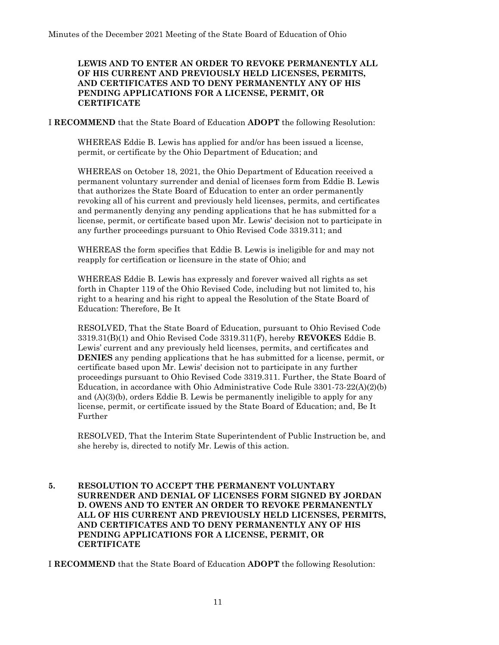# **LEWIS AND TO ENTER AN ORDER TO REVOKE PERMANENTLY ALL OF HIS CURRENT AND PREVIOUSLY HELD LICENSES, PERMITS, AND CERTIFICATES AND TO DENY PERMANENTLY ANY OF HIS PENDING APPLICATIONS FOR A LICENSE, PERMIT, OR CERTIFICATE**

I **RECOMMEND** that the State Board of Education **ADOPT** the following Resolution:

WHEREAS Eddie B. Lewis has applied for and/or has been issued a license, permit, or certificate by the Ohio Department of Education; and

WHEREAS on October 18, 2021, the Ohio Department of Education received a permanent voluntary surrender and denial of licenses form from Eddie B. Lewis that authorizes the State Board of Education to enter an order permanently revoking all of his current and previously held licenses, permits, and certificates and permanently denying any pending applications that he has submitted for a license, permit, or certificate based upon Mr. Lewis' decision not to participate in any further proceedings pursuant to Ohio Revised Code 3319.311; and

WHEREAS the form specifies that Eddie B. Lewis is ineligible for and may not reapply for certification or licensure in the state of Ohio; and

WHEREAS Eddie B. Lewis has expressly and forever waived all rights as set forth in Chapter 119 of the Ohio Revised Code, including but not limited to, his right to a hearing and his right to appeal the Resolution of the State Board of Education: Therefore, Be It

RESOLVED, That the State Board of Education, pursuant to Ohio Revised Code 3319.31(B)(1) and Ohio Revised Code 3319.311(F), hereby **REVOKES** Eddie B. Lewis' current and any previously held licenses, permits, and certificates and **DENIES** any pending applications that he has submitted for a license, permit, or certificate based upon Mr. Lewis' decision not to participate in any further proceedings pursuant to Ohio Revised Code 3319.311. Further, the State Board of Education, in accordance with Ohio Administrative Code Rule 3301-73-22(A)(2)(b) and  $(A)(3)(b)$ , orders Eddie B. Lewis be permanently ineligible to apply for any license, permit, or certificate issued by the State Board of Education; and, Be It Further

RESOLVED, That the Interim State Superintendent of Public Instruction be, and she hereby is, directed to notify Mr. Lewis of this action.

# **5. RESOLUTION TO ACCEPT THE PERMANENT VOLUNTARY SURRENDER AND DENIAL OF LICENSES FORM SIGNED BY JORDAN D. OWENS AND TO ENTER AN ORDER TO REVOKE PERMANENTLY ALL OF HIS CURRENT AND PREVIOUSLY HELD LICENSES, PERMITS, AND CERTIFICATES AND TO DENY PERMANENTLY ANY OF HIS PENDING APPLICATIONS FOR A LICENSE, PERMIT, OR CERTIFICATE**

I **RECOMMEND** that the State Board of Education **ADOPT** the following Resolution: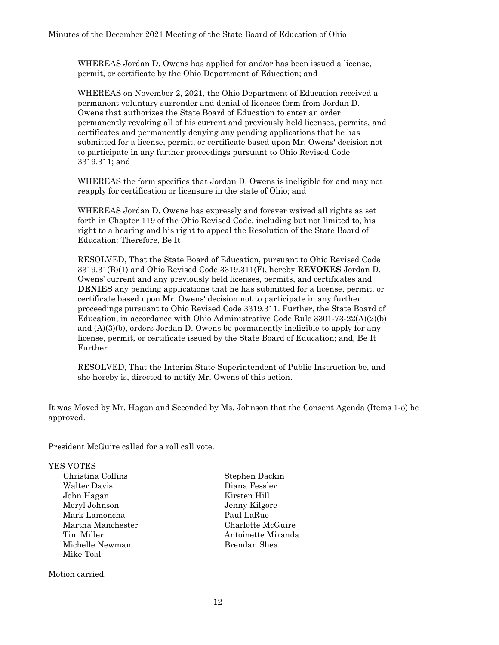WHEREAS Jordan D. Owens has applied for and/or has been issued a license, permit, or certificate by the Ohio Department of Education; and

WHEREAS on November 2, 2021, the Ohio Department of Education received a permanent voluntary surrender and denial of licenses form from Jordan D. Owens that authorizes the State Board of Education to enter an order permanently revoking all of his current and previously held licenses, permits, and certificates and permanently denying any pending applications that he has submitted for a license, permit, or certificate based upon Mr. Owens' decision not to participate in any further proceedings pursuant to Ohio Revised Code 3319.311; and

WHEREAS the form specifies that Jordan D. Owens is ineligible for and may not reapply for certification or licensure in the state of Ohio; and

WHEREAS Jordan D. Owens has expressly and forever waived all rights as set forth in Chapter 119 of the Ohio Revised Code, including but not limited to, his right to a hearing and his right to appeal the Resolution of the State Board of Education: Therefore, Be It

RESOLVED, That the State Board of Education, pursuant to Ohio Revised Code 3319.31(B)(1) and Ohio Revised Code 3319.311(F), hereby **REVOKES** Jordan D. Owens' current and any previously held licenses, permits, and certificates and **DENIES** any pending applications that he has submitted for a license, permit, or certificate based upon Mr. Owens' decision not to participate in any further proceedings pursuant to Ohio Revised Code 3319.311. Further, the State Board of Education, in accordance with Ohio Administrative Code Rule 3301-73-22(A)(2)(b) and  $(A)(3)(b)$ , orders Jordan D. Owens be permanently ineligible to apply for any license, permit, or certificate issued by the State Board of Education; and, Be It Further

RESOLVED, That the Interim State Superintendent of Public Instruction be, and she hereby is, directed to notify Mr. Owens of this action.

It was Moved by Mr. Hagan and Seconded by Ms. Johnson that the Consent Agenda (Items 1-5) be approved.

President McGuire called for a roll call vote.

#### YES VOTES

Walter Davis Diana Fessler John Hagan Kirsten Hill Meryl Johnson Jenny Kilgore Mark Lamoncha Paul LaRue Michelle Newman Brendan Shea Mike Toal

Motion carried.

Christina Collins Stephen Dackin Martha Manchester Charlotte McGuire Tim Miller **Antoinette Miranda**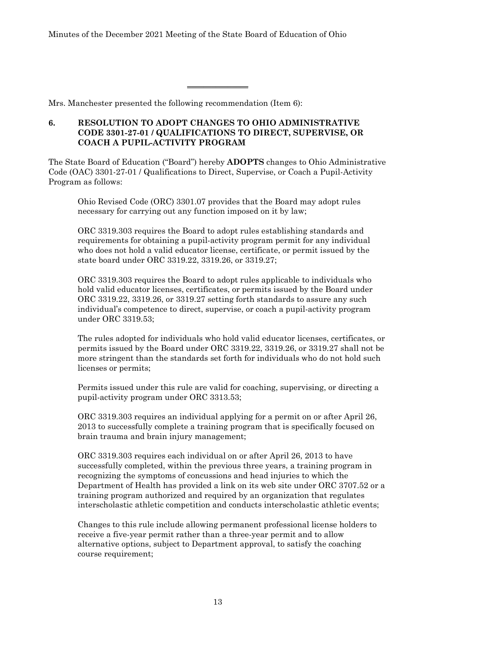Mrs. Manchester presented the following recommendation (Item 6):

# **6. RESOLUTION TO ADOPT CHANGES TO OHIO ADMINISTRATIVE CODE 3301-27-01 / QUALIFICATIONS TO DIRECT, SUPERVISE, OR COACH A PUPIL-ACTIVITY PROGRAM**

The State Board of Education ("Board") hereby **ADOPTS** changes to Ohio Administrative Code (OAC) 3301-27-01 / Qualifications to Direct, Supervise, or Coach a Pupil-Activity Program as follows:

\_\_\_\_\_\_\_\_\_\_\_\_\_\_\_

Ohio Revised Code (ORC) 3301.07 provides that the Board may adopt rules necessary for carrying out any function imposed on it by law;

ORC 3319.303 requires the Board to adopt rules establishing standards and requirements for obtaining a pupil-activity program permit for any individual who does not hold a valid educator license, certificate, or permit issued by the state board under ORC 3319.22, 3319.26, or 3319.27;

ORC 3319.303 requires the Board to adopt rules applicable to individuals who hold valid educator licenses, certificates, or permits issued by the Board under ORC 3319.22, 3319.26, or 3319.27 setting forth standards to assure any such individual's competence to direct, supervise, or coach a pupil-activity program under ORC 3319.53;

The rules adopted for individuals who hold valid educator licenses, certificates, or permits issued by the Board under ORC 3319.22, 3319.26, or 3319.27 shall not be more stringent than the standards set forth for individuals who do not hold such licenses or permits;

Permits issued under this rule are valid for coaching, supervising, or directing a pupil-activity program under ORC 3313.53;

ORC 3319.303 requires an individual applying for a permit on or after April 26, 2013 to successfully complete a training program that is specifically focused on brain trauma and brain injury management;

ORC 3319.303 requires each individual on or after April 26, 2013 to have successfully completed, within the previous three years, a training program in recognizing the symptoms of concussions and head injuries to which the Department of Health has provided a link on its web site under ORC 3707.52 or a training program authorized and required by an organization that regulates interscholastic athletic competition and conducts interscholastic athletic events;

Changes to this rule include allowing permanent professional license holders to receive a five-year permit rather than a three-year permit and to allow alternative options, subject to Department approval, to satisfy the coaching course requirement;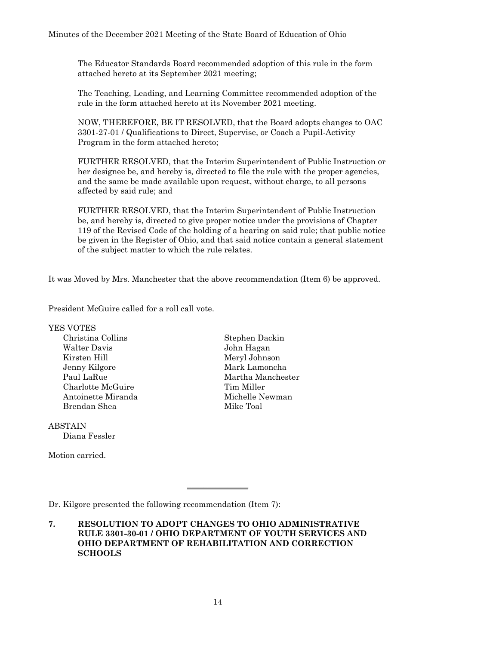The Educator Standards Board recommended adoption of this rule in the form attached hereto at its September 2021 meeting;

The Teaching, Leading, and Learning Committee recommended adoption of the rule in the form attached hereto at its November 2021 meeting.

NOW, THEREFORE, BE IT RESOLVED, that the Board adopts changes to OAC 3301-27-01 / Qualifications to Direct, Supervise, or Coach a Pupil-Activity Program in the form attached hereto;

FURTHER RESOLVED, that the Interim Superintendent of Public Instruction or her designee be, and hereby is, directed to file the rule with the proper agencies, and the same be made available upon request, without charge, to all persons affected by said rule; and

FURTHER RESOLVED, that the Interim Superintendent of Public Instruction be, and hereby is, directed to give proper notice under the provisions of Chapter 119 of the Revised Code of the holding of a hearing on said rule; that public notice be given in the Register of Ohio, and that said notice contain a general statement of the subject matter to which the rule relates.

It was Moved by Mrs. Manchester that the above recommendation (Item 6) be approved.

President McGuire called for a roll call vote.

YES VOTES Christina Collins Stephen Dackin Walter Davis John Hagan Kirsten Hill Meryl Johnson Jenny Kilgore Mark Lamoncha Charlotte McGuire Tim Miller Antoinette Miranda Michelle Newman Brendan Shea Mike Toal

ABSTAIN Diana Fessler

Motion carried.

Paul LaRue Martha Manchester

Dr. Kilgore presented the following recommendation (Item 7):

**7. RESOLUTION TO ADOPT CHANGES TO OHIO ADMINISTRATIVE RULE 3301-30-01 / OHIO DEPARTMENT OF YOUTH SERVICES AND OHIO DEPARTMENT OF REHABILITATION AND CORRECTION SCHOOLS**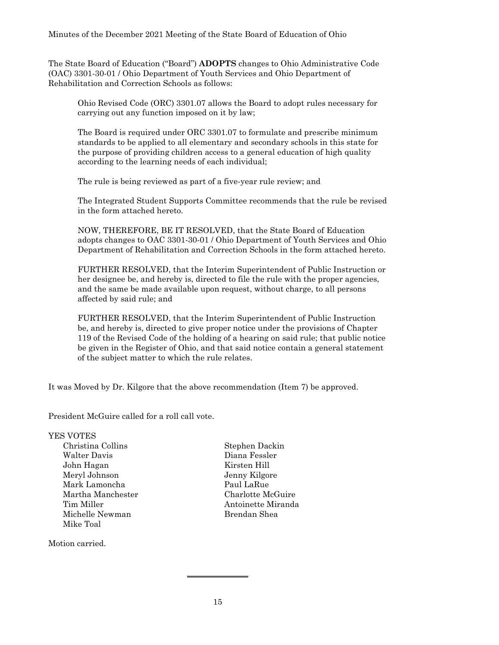The State Board of Education ("Board") **ADOPTS** changes to Ohio Administrative Code (OAC) 3301-30-01 / Ohio Department of Youth Services and Ohio Department of Rehabilitation and Correction Schools as follows:

Ohio Revised Code (ORC) 3301.07 allows the Board to adopt rules necessary for carrying out any function imposed on it by law;

The Board is required under ORC 3301.07 to formulate and prescribe minimum standards to be applied to all elementary and secondary schools in this state for the purpose of providing children access to a general education of high quality according to the learning needs of each individual;

The rule is being reviewed as part of a five-year rule review; and

The Integrated Student Supports Committee recommends that the rule be revised in the form attached hereto.

NOW, THEREFORE, BE IT RESOLVED, that the State Board of Education adopts changes to OAC 3301-30-01 / Ohio Department of Youth Services and Ohio Department of Rehabilitation and Correction Schools in the form attached hereto.

FURTHER RESOLVED, that the Interim Superintendent of Public Instruction or her designee be, and hereby is, directed to file the rule with the proper agencies, and the same be made available upon request, without charge, to all persons affected by said rule; and

FURTHER RESOLVED, that the Interim Superintendent of Public Instruction be, and hereby is, directed to give proper notice under the provisions of Chapter 119 of the Revised Code of the holding of a hearing on said rule; that public notice be given in the Register of Ohio, and that said notice contain a general statement of the subject matter to which the rule relates.

It was Moved by Dr. Kilgore that the above recommendation (Item 7) be approved.

President McGuire called for a roll call vote.

YES VOTES Christina Collins Stephen Dackin Walter Davis Diana Fessler John Hagan Kirsten Hill Meryl Johnson Jenny Kilgore Mark Lamoncha **Paul LaRue** Martha Manchester Charlotte McGuire Michelle Newman Brendan Shea Mike Toal

Motion carried.

Tim Miller Antoinette Miranda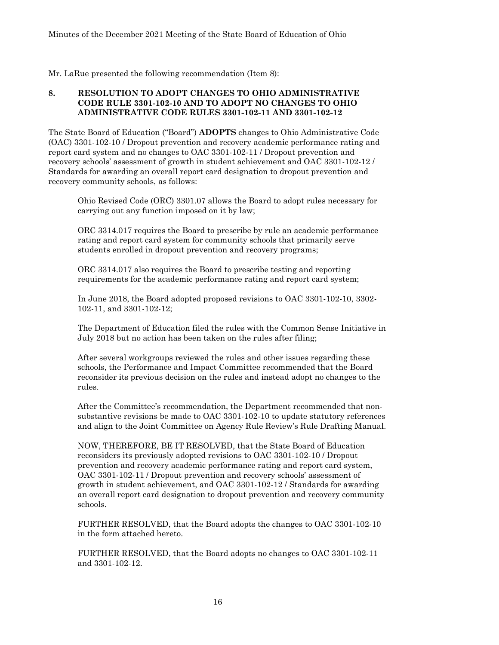Mr. LaRue presented the following recommendation (Item 8):

# **8. RESOLUTION TO ADOPT CHANGES TO OHIO ADMINISTRATIVE CODE RULE 3301-102-10 AND TO ADOPT NO CHANGES TO OHIO ADMINISTRATIVE CODE RULES 3301-102-11 AND 3301-102-12**

The State Board of Education ("Board") **ADOPTS** changes to Ohio Administrative Code (OAC) 3301-102-10 / Dropout prevention and recovery academic performance rating and report card system and no changes to OAC 3301-102-11 / Dropout prevention and recovery schools' assessment of growth in student achievement and OAC 3301-102-12 / Standards for awarding an overall report card designation to dropout prevention and recovery community schools, as follows:

Ohio Revised Code (ORC) 3301.07 allows the Board to adopt rules necessary for carrying out any function imposed on it by law;

ORC 3314.017 requires the Board to prescribe by rule an academic performance rating and report card system for community schools that primarily serve students enrolled in dropout prevention and recovery programs;

ORC 3314.017 also requires the Board to prescribe testing and reporting requirements for the academic performance rating and report card system;

In June 2018, the Board adopted proposed revisions to OAC 3301-102-10, 3302- 102-11, and 3301-102-12;

The Department of Education filed the rules with the Common Sense Initiative in July 2018 but no action has been taken on the rules after filing;

After several workgroups reviewed the rules and other issues regarding these schools, the Performance and Impact Committee recommended that the Board reconsider its previous decision on the rules and instead adopt no changes to the rules.

After the Committee's recommendation, the Department recommended that nonsubstantive revisions be made to OAC 3301-102-10 to update statutory references and align to the Joint Committee on Agency Rule Review's Rule Drafting Manual.

NOW, THEREFORE, BE IT RESOLVED, that the State Board of Education reconsiders its previously adopted revisions to OAC 3301-102-10 / Dropout prevention and recovery academic performance rating and report card system, OAC 3301-102-11 / Dropout prevention and recovery schools' assessment of growth in student achievement, and OAC 3301-102-12 / Standards for awarding an overall report card designation to dropout prevention and recovery community schools.

FURTHER RESOLVED, that the Board adopts the changes to OAC 3301-102-10 in the form attached hereto.

FURTHER RESOLVED, that the Board adopts no changes to OAC 3301-102-11 and 3301-102-12.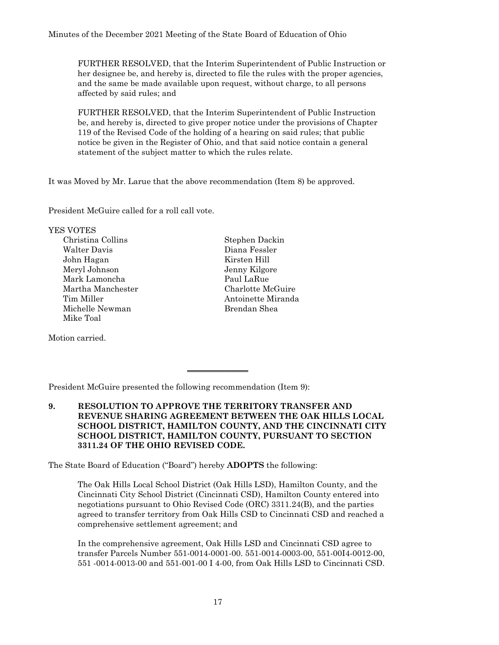FURTHER RESOLVED, that the Interim Superintendent of Public Instruction or her designee be, and hereby is, directed to file the rules with the proper agencies, and the same be made available upon request, without charge, to all persons affected by said rules; and

FURTHER RESOLVED, that the Interim Superintendent of Public Instruction be, and hereby is, directed to give proper notice under the provisions of Chapter 119 of the Revised Code of the holding of a hearing on said rules; that public notice be given in the Register of Ohio, and that said notice contain a general statement of the subject matter to which the rules relate.

It was Moved by Mr. Larue that the above recommendation (Item 8) be approved.

President McGuire called for a roll call vote.

YES VOTES Christina Collins Stephen Dackin Walter Davis Diana Fessler John Hagan Kirsten Hill Meryl Johnson Jenny Kilgore Mark Lamoncha **Paul LaRue** Martha Manchester Charlotte McGuire Michelle Newman Brendan Shea Mike Toal

Motion carried.

Tim Miller **Antoinette Miranda** 

President McGuire presented the following recommendation (Item 9):

**9. RESOLUTION TO APPROVE THE TERRITORY TRANSFER AND REVENUE SHARING AGREEMENT BETWEEN THE OAK HILLS LOCAL SCHOOL DISTRICT, HAMILTON COUNTY, AND THE CINCINNATI CITY SCHOOL DISTRICT, HAMILTON COUNTY, PURSUANT TO SECTION 3311.24 OF THE OHIO REVISED CODE.** 

 $\overline{\phantom{a}}$  , where  $\overline{\phantom{a}}$ 

The State Board of Education ("Board") hereby **ADOPTS** the following:

The Oak Hills Local School District (Oak Hills LSD), Hamilton County, and the Cincinnati City School District (Cincinnati CSD), Hamilton County entered into negotiations pursuant to Ohio Revised Code (ORC) 3311.24(B), and the parties agreed to transfer territory from Oak Hills CSD to Cincinnati CSD and reached a comprehensive settlement agreement; and

In the comprehensive agreement, Oak Hills LSD and Cincinnati CSD agree to transfer Parcels Number 551-0014-0001-00. 551-0014-0003-00, 551-00I4-0012-00, 551 -0014-0013-00 and 551-001-00 I 4-00, from Oak Hills LSD to Cincinnati CSD.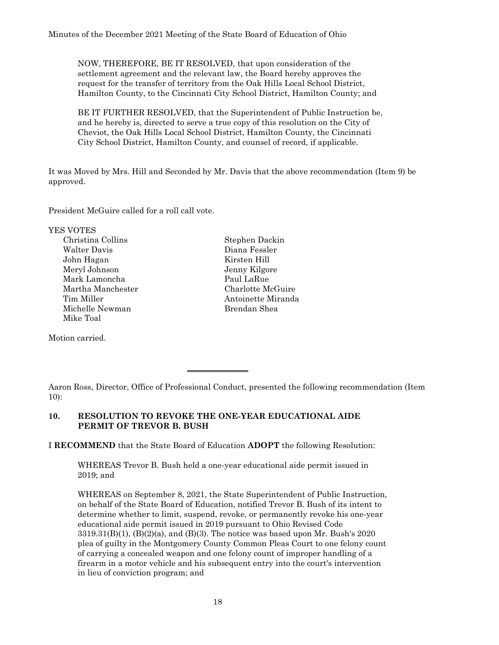NOW, THEREFORE, BE IT RESOLVED, that upon consideration of the settlement agreement and the relevant law, the Board hereby approves the request for the transfer of territory from the Oak Hills Local School District, Hamilton County, to the Cincinnati City School District, Hamilton County; and

BE IT FURTHER RESOLVED, that the Superintendent of Public Instruction be, and he hereby is, directed to serve a true copy of this resolution on the City of Cheviot, the Oak Hills Local School District, Hamilton County, the Cincinnati City School District, Hamilton County, and counsel of record, if applicable.

It was Moved by Mrs. Hill and Seconded by Mr. Davis that the above recommendation (Item 9) be approved.

President McGuire called for a roll call vote.

YES VOTES

Christina Collins Stephen Dackin Walter Davis Diana Fessler John Hagan Kirsten Hill Meryl Johnson Jenny Kilgore Mark Lamoncha **Paul LaRue** Martha Manchester Charlotte McGuire Michelle Newman Brendan Shea Mike Toal

Motion carried.

Tim Miller **Antoinette Miranda** 

Aaron Ross, Director, Office of Professional Conduct, presented the following recommendation (Item 10):

# **10. RESOLUTION TO REVOKE THE ONE-YEAR EDUCATIONAL AIDE PERMIT OF TREVOR B. BUSH**

I **RECOMMEND** that the State Board of Education **ADOPT** the following Resolution:

 $\overline{\phantom{a}}$  , where  $\overline{\phantom{a}}$ 

WHEREAS Trevor B. Bush held a one-year educational aide permit issued in 2019; and

WHEREAS on September 8, 2021, the State Superintendent of Public Instruction, on behalf of the State Board of Education, notified Trevor B. Bush of its intent to determine whether to limit, suspend, revoke, or permanently revoke his one-year educational aide permit issued in 2019 pursuant to Ohio Revised Code  $3319.31(B)(1)$ ,  $(B)(2)(a)$ , and  $(B)(3)$ . The notice was based upon Mr. Bush's 2020 plea of guilty in the Montgomery County Common Pleas Court to one felony count of carrying a concealed weapon and one felony count of improper handling of a firearm in a motor vehicle and his subsequent entry into the court's intervention in lieu of conviction program; and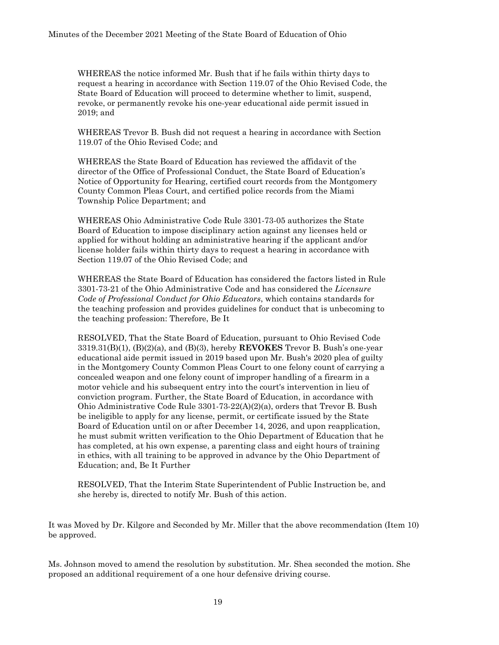WHEREAS the notice informed Mr. Bush that if he fails within thirty days to request a hearing in accordance with Section 119.07 of the Ohio Revised Code, the State Board of Education will proceed to determine whether to limit, suspend, revoke, or permanently revoke his one-year educational aide permit issued in 2019; and

WHEREAS Trevor B. Bush did not request a hearing in accordance with Section 119.07 of the Ohio Revised Code; and

WHEREAS the State Board of Education has reviewed the affidavit of the director of the Office of Professional Conduct, the State Board of Education's Notice of Opportunity for Hearing, certified court records from the Montgomery County Common Pleas Court, and certified police records from the Miami Township Police Department; and

WHEREAS Ohio Administrative Code Rule 3301-73-05 authorizes the State Board of Education to impose disciplinary action against any licenses held or applied for without holding an administrative hearing if the applicant and/or license holder fails within thirty days to request a hearing in accordance with Section 119.07 of the Ohio Revised Code; and

WHEREAS the State Board of Education has considered the factors listed in Rule 3301-73-21 of the Ohio Administrative Code and has considered the *Licensure Code of Professional Conduct for Ohio Educators*, which contains standards for the teaching profession and provides guidelines for conduct that is unbecoming to the teaching profession: Therefore, Be It

RESOLVED, That the State Board of Education, pursuant to Ohio Revised Code 3319.31(B)(1), (B)(2)(a), and (B)(3), hereby **REVOKES** Trevor B. Bush's one-year educational aide permit issued in 2019 based upon Mr. Bush's 2020 plea of guilty in the Montgomery County Common Pleas Court to one felony count of carrying a concealed weapon and one felony count of improper handling of a firearm in a motor vehicle and his subsequent entry into the court's intervention in lieu of conviction program. Further, the State Board of Education, in accordance with Ohio Administrative Code Rule 3301-73-22(A)(2)(a), orders that Trevor B. Bush be ineligible to apply for any license, permit, or certificate issued by the State Board of Education until on or after December 14, 2026, and upon reapplication, he must submit written verification to the Ohio Department of Education that he has completed, at his own expense, a parenting class and eight hours of training in ethics, with all training to be approved in advance by the Ohio Department of Education; and, Be It Further

RESOLVED, That the Interim State Superintendent of Public Instruction be, and she hereby is, directed to notify Mr. Bush of this action.

It was Moved by Dr. Kilgore and Seconded by Mr. Miller that the above recommendation (Item 10) be approved.

Ms. Johnson moved to amend the resolution by substitution. Mr. Shea seconded the motion. She proposed an additional requirement of a one hour defensive driving course.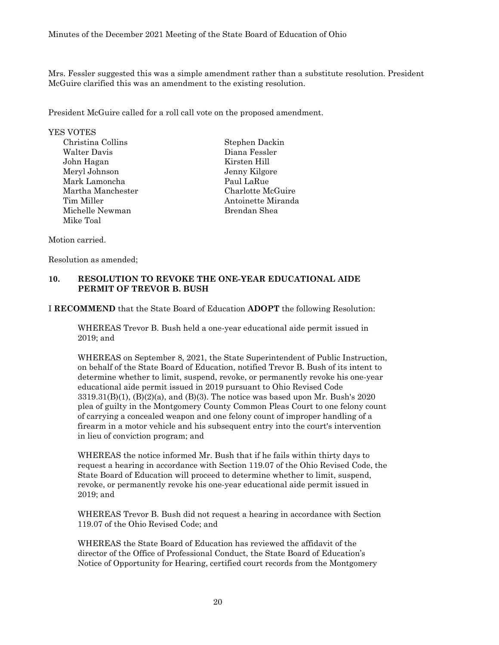Mrs. Fessler suggested this was a simple amendment rather than a substitute resolution. President McGuire clarified this was an amendment to the existing resolution.

President McGuire called for a roll call vote on the proposed amendment.

# YES VOTES

Christina Collins Stephen Dackin Walter Davis Diana Fessler John Hagan Kirsten Hill Meryl Johnson Jenny Kilgore Mark Lamoncha **Paul LaRue** Martha Manchester Charlotte McGuire Tim Miller **Antoinette Miranda** Michelle Newman Brendan Shea Mike Toal

#### Motion carried.

Resolution as amended;

#### **10. RESOLUTION TO REVOKE THE ONE-YEAR EDUCATIONAL AIDE PERMIT OF TREVOR B. BUSH**

I **RECOMMEND** that the State Board of Education **ADOPT** the following Resolution:

WHEREAS Trevor B. Bush held a one-year educational aide permit issued in 2019; and

WHEREAS on September 8, 2021, the State Superintendent of Public Instruction, on behalf of the State Board of Education, notified Trevor B. Bush of its intent to determine whether to limit, suspend, revoke, or permanently revoke his one-year educational aide permit issued in 2019 pursuant to Ohio Revised Code  $3319.31(B)(1)$ ,  $(B)(2)(a)$ , and  $(B)(3)$ . The notice was based upon Mr. Bush's 2020 plea of guilty in the Montgomery County Common Pleas Court to one felony count of carrying a concealed weapon and one felony count of improper handling of a firearm in a motor vehicle and his subsequent entry into the court's intervention in lieu of conviction program; and

WHEREAS the notice informed Mr. Bush that if he fails within thirty days to request a hearing in accordance with Section 119.07 of the Ohio Revised Code, the State Board of Education will proceed to determine whether to limit, suspend, revoke, or permanently revoke his one-year educational aide permit issued in 2019; and

WHEREAS Trevor B. Bush did not request a hearing in accordance with Section 119.07 of the Ohio Revised Code; and

WHEREAS the State Board of Education has reviewed the affidavit of the director of the Office of Professional Conduct, the State Board of Education's Notice of Opportunity for Hearing, certified court records from the Montgomery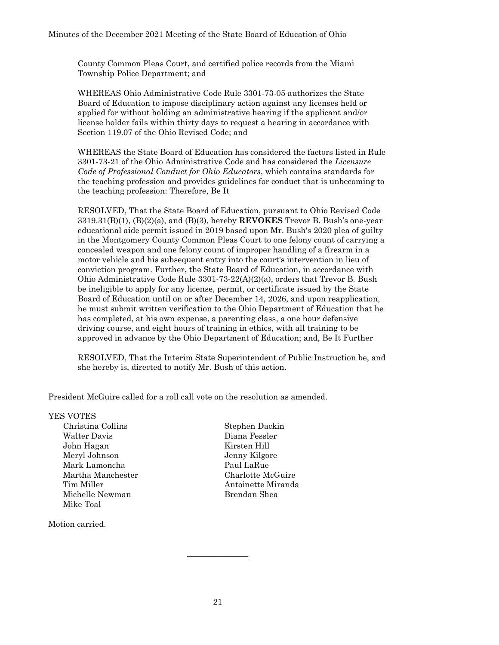County Common Pleas Court, and certified police records from the Miami Township Police Department; and

WHEREAS Ohio Administrative Code Rule 3301-73-05 authorizes the State Board of Education to impose disciplinary action against any licenses held or applied for without holding an administrative hearing if the applicant and/or license holder fails within thirty days to request a hearing in accordance with Section 119.07 of the Ohio Revised Code; and

WHEREAS the State Board of Education has considered the factors listed in Rule 3301-73-21 of the Ohio Administrative Code and has considered the *Licensure Code of Professional Conduct for Ohio Educators*, which contains standards for the teaching profession and provides guidelines for conduct that is unbecoming to the teaching profession: Therefore, Be It

RESOLVED, That the State Board of Education, pursuant to Ohio Revised Code 3319.31(B)(1), (B)(2)(a), and (B)(3), hereby **REVOKES** Trevor B. Bush's one-year educational aide permit issued in 2019 based upon Mr. Bush's 2020 plea of guilty in the Montgomery County Common Pleas Court to one felony count of carrying a concealed weapon and one felony count of improper handling of a firearm in a motor vehicle and his subsequent entry into the court's intervention in lieu of conviction program. Further, the State Board of Education, in accordance with Ohio Administrative Code Rule 3301-73-22(A)(2)(a), orders that Trevor B. Bush be ineligible to apply for any license, permit, or certificate issued by the State Board of Education until on or after December 14, 2026, and upon reapplication, he must submit written verification to the Ohio Department of Education that he has completed, at his own expense, a parenting class, a one hour defensive driving course, and eight hours of training in ethics, with all training to be approved in advance by the Ohio Department of Education; and, Be It Further

RESOLVED, That the Interim State Superintendent of Public Instruction be, and she hereby is, directed to notify Mr. Bush of this action.

President McGuire called for a roll call vote on the resolution as amended.

#### YES VOTES

Christina Collins Stephen Dackin Walter Davis Diana Fessler John Hagan Kirsten Hill Meryl Johnson Jenny Kilgore Mark Lamoncha **Paul LaRue** Martha Manchester Charlotte McGuire Tim Miller **Antoinette Miranda** Michelle Newman Brendan Shea Mike Toal

Motion carried.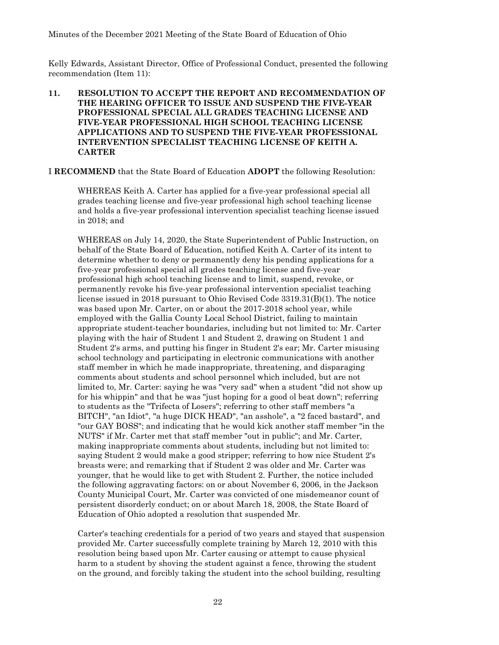Kelly Edwards, Assistant Director, Office of Professional Conduct, presented the following recommendation (Item 11):

# **11. RESOLUTION TO ACCEPT THE REPORT AND RECOMMENDATION OF THE HEARING OFFICER TO ISSUE AND SUSPEND THE FIVE-YEAR PROFESSIONAL SPECIAL ALL GRADES TEACHING LICENSE AND FIVE-YEAR PROFESSIONAL HIGH SCHOOL TEACHING LICENSE APPLICATIONS AND TO SUSPEND THE FIVE-YEAR PROFESSIONAL INTERVENTION SPECIALIST TEACHING LICENSE OF KEITH A. CARTER**

I **RECOMMEND** that the State Board of Education **ADOPT** the following Resolution:

WHEREAS Keith A. Carter has applied for a five-year professional special all grades teaching license and five-year professional high school teaching license and holds a five-year professional intervention specialist teaching license issued in 2018; and

WHEREAS on July 14, 2020, the State Superintendent of Public Instruction, on behalf of the State Board of Education, notified Keith A. Carter of its intent to determine whether to deny or permanently deny his pending applications for a five-year professional special all grades teaching license and five-year professional high school teaching license and to limit, suspend, revoke, or permanently revoke his five-year professional intervention specialist teaching license issued in 2018 pursuant to Ohio Revised Code 3319.31(B)(1). The notice was based upon Mr. Carter, on or about the 2017-2018 school year, while employed with the Gallia County Local School District, failing to maintain appropriate student-teacher boundaries, including but not limited to: Mr. Carter playing with the hair of Student 1 and Student 2, drawing on Student 1 and Student 2's arms, and putting his finger in Student 2's ear; Mr. Carter misusing school technology and participating in electronic communications with another staff member in which he made inappropriate, threatening, and disparaging comments about students and school personnel which included, but are not limited to, Mr. Carter: saying he was "very sad" when a student "did not show up for his whippin" and that he was "just hoping for a good ol beat down"; referring to students as the "Trifecta of Losers"; referring to other staff members "a BITCH", "an Idiot", "a huge DICK HEAD", "an asshole", a "2 faced bastard", and "our GAY BOSS"; and indicating that he would kick another staff member "in the NUTS" if Mr. Carter met that staff member "out in public"; and Mr. Carter, making inappropriate comments about students, including but not limited to: saying Student 2 would make a good stripper; referring to how nice Student 2's breasts were; and remarking that if Student 2 was older and Mr. Carter was younger, that he would like to get with Student 2. Further, the notice included the following aggravating factors: on or about November 6, 2006, in the Jackson County Municipal Court, Mr. Carter was convicted of one misdemeanor count of persistent disorderly conduct; on or about March 18, 2008, the State Board of Education of Ohio adopted a resolution that suspended Mr.

Carter's teaching credentials for a period of two years and stayed that suspension provided Mr. Carter successfully complete training by March 12, 2010 with this resolution being based upon Mr. Carter causing or attempt to cause physical harm to a student by shoving the student against a fence, throwing the student on the ground, and forcibly taking the student into the school building, resulting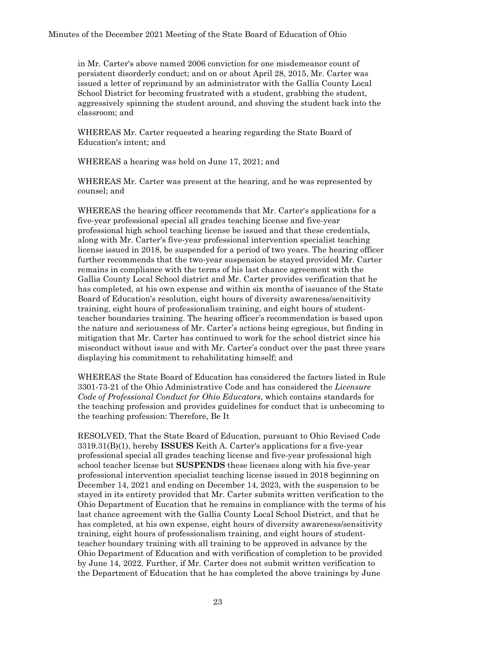in Mr. Carter's above named 2006 conviction for one misdemeanor count of persistent disorderly conduct; and on or about April 28, 2015, Mr. Carter was issued a letter of reprimand by an administrator with the Gallia County Local School District for becoming frustrated with a student, grabbing the student, aggressively spinning the student around, and shoving the student back into the classroom; and

WHEREAS Mr. Carter requested a hearing regarding the State Board of Education's intent; and

WHEREAS a hearing was held on June 17, 2021; and

WHEREAS Mr. Carter was present at the hearing, and he was represented by counsel; and

WHEREAS the hearing officer recommends that Mr. Carter's applications for a five-year professional special all grades teaching license and five-year professional high school teaching license be issued and that these credentials, along with Mr. Carter's five-year professional intervention specialist teaching license issued in 2018, be suspended for a period of two years. The hearing officer further recommends that the two-year suspension be stayed provided Mr. Carter remains in compliance with the terms of his last chance agreement with the Gallia County Local School district and Mr. Carter provides verification that he has completed, at his own expense and within six months of issuance of the State Board of Education's resolution, eight hours of diversity awareness/sensitivity training, eight hours of professionalism training, and eight hours of studentteacher boundaries training. The hearing officer's recommendation is based upon the nature and seriousness of Mr. Carter's actions being egregious, but finding in mitigation that Mr. Carter has continued to work for the school district since his misconduct without issue and with Mr. Carter's conduct over the past three years displaying his commitment to rehabilitating himself; and

WHEREAS the State Board of Education has considered the factors listed in Rule 3301-73-21 of the Ohio Administrative Code and has considered the *Licensure Code of Professional Conduct for Ohio Educators*, which contains standards for the teaching profession and provides guidelines for conduct that is unbecoming to the teaching profession: Therefore, Be It

RESOLVED, That the State Board of Education, pursuant to Ohio Revised Code 3319.31(B)(1), hereby **ISSUES** Keith A. Carter's applications for a five-year professional special all grades teaching license and five-year professional high school teacher license but **SUSPENDS** these licenses along with his five-year professional intervention specialist teaching license issued in 2018 beginning on December 14, 2021 and ending on December 14, 2023, with the suspension to be stayed in its entirety provided that Mr. Carter submits written verification to the Ohio Department of Eucation that he remains in compliance with the terms of his last chance agreement with the Gallia County Local School District, and that he has completed, at his own expense, eight hours of diversity awareness/sensitivity training, eight hours of professionalism training, and eight hours of studentteacher boundary training with all training to be approved in advance by the Ohio Department of Education and with verification of completion to be provided by June 14, 2022. Further, if Mr. Carter does not submit written verification to the Department of Education that he has completed the above trainings by June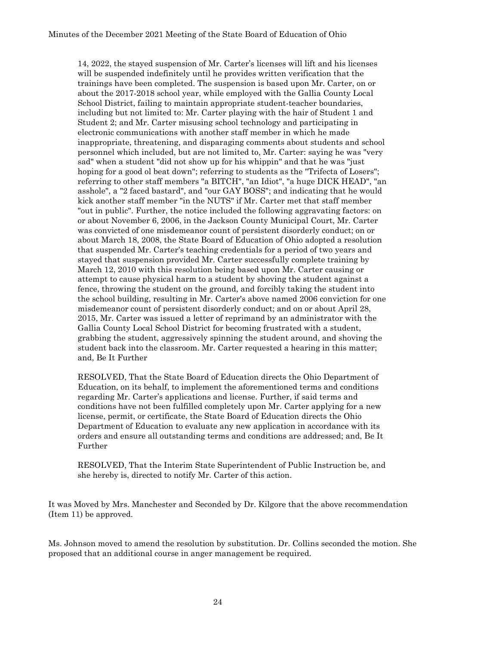14, 2022, the stayed suspension of Mr. Carter's licenses will lift and his licenses will be suspended indefinitely until he provides written verification that the trainings have been completed. The suspension is based upon Mr. Carter, on or about the 2017-2018 school year, while employed with the Gallia County Local School District, failing to maintain appropriate student-teacher boundaries, including but not limited to: Mr. Carter playing with the hair of Student 1 and Student 2; and Mr. Carter misusing school technology and participating in electronic communications with another staff member in which he made inappropriate, threatening, and disparaging comments about students and school personnel which included, but are not limited to, Mr. Carter: saying he was "very sad" when a student "did not show up for his whippin" and that he was "just hoping for a good ol beat down"; referring to students as the "Trifecta of Losers"; referring to other staff members "a BITCH", "an Idiot", "a huge DICK HEAD", "an asshole", a "2 faced bastard", and "our GAY BOSS"; and indicating that he would kick another staff member "in the NUTS" if Mr. Carter met that staff member "out in public". Further, the notice included the following aggravating factors: on or about November 6, 2006, in the Jackson County Municipal Court, Mr. Carter was convicted of one misdemeanor count of persistent disorderly conduct; on or about March 18, 2008, the State Board of Education of Ohio adopted a resolution that suspended Mr. Carter's teaching credentials for a period of two years and stayed that suspension provided Mr. Carter successfully complete training by March 12, 2010 with this resolution being based upon Mr. Carter causing or attempt to cause physical harm to a student by shoving the student against a fence, throwing the student on the ground, and forcibly taking the student into the school building, resulting in Mr. Carter's above named 2006 conviction for one misdemeanor count of persistent disorderly conduct; and on or about April 28, 2015, Mr. Carter was issued a letter of reprimand by an administrator with the Gallia County Local School District for becoming frustrated with a student, grabbing the student, aggressively spinning the student around, and shoving the student back into the classroom. Mr. Carter requested a hearing in this matter; and, Be It Further

RESOLVED, That the State Board of Education directs the Ohio Department of Education, on its behalf, to implement the aforementioned terms and conditions regarding Mr. Carter's applications and license. Further, if said terms and conditions have not been fulfilled completely upon Mr. Carter applying for a new license, permit, or certificate, the State Board of Education directs the Ohio Department of Education to evaluate any new application in accordance with its orders and ensure all outstanding terms and conditions are addressed; and, Be It Further

RESOLVED, That the Interim State Superintendent of Public Instruction be, and she hereby is, directed to notify Mr. Carter of this action.

It was Moved by Mrs. Manchester and Seconded by Dr. Kilgore that the above recommendation (Item 11) be approved.

Ms. Johnson moved to amend the resolution by substitution. Dr. Collins seconded the motion. She proposed that an additional course in anger management be required.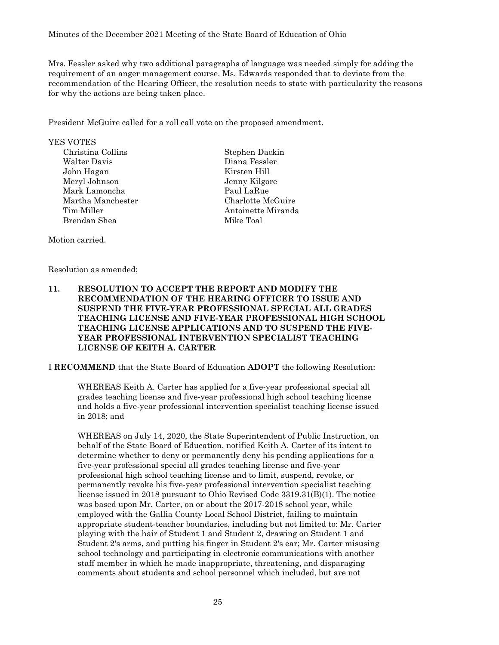Mrs. Fessler asked why two additional paragraphs of language was needed simply for adding the requirement of an anger management course. Ms. Edwards responded that to deviate from the recommendation of the Hearing Officer, the resolution needs to state with particularity the reasons for why the actions are being taken place.

President McGuire called for a roll call vote on the proposed amendment.

YES VOTES

Christina Collins Stephen Dackin Walter Davis Diana Fessler John Hagan Kirsten Hill Meryl Johnson Jenny Kilgore Mark Lamoncha Paul LaRue Martha Manchester Charlotte McGuire Tim Miller **Antoinette Miranda** Brendan Shea Mike Toal

Motion carried.

Resolution as amended;

# **11. RESOLUTION TO ACCEPT THE REPORT AND MODIFY THE RECOMMENDATION OF THE HEARING OFFICER TO ISSUE AND SUSPEND THE FIVE-YEAR PROFESSIONAL SPECIAL ALL GRADES TEACHING LICENSE AND FIVE-YEAR PROFESSIONAL HIGH SCHOOL TEACHING LICENSE APPLICATIONS AND TO SUSPEND THE FIVE-YEAR PROFESSIONAL INTERVENTION SPECIALIST TEACHING LICENSE OF KEITH A. CARTER**

I **RECOMMEND** that the State Board of Education **ADOPT** the following Resolution:

WHEREAS Keith A. Carter has applied for a five-year professional special all grades teaching license and five-year professional high school teaching license and holds a five-year professional intervention specialist teaching license issued in 2018; and

WHEREAS on July 14, 2020, the State Superintendent of Public Instruction, on behalf of the State Board of Education, notified Keith A. Carter of its intent to determine whether to deny or permanently deny his pending applications for a five-year professional special all grades teaching license and five-year professional high school teaching license and to limit, suspend, revoke, or permanently revoke his five-year professional intervention specialist teaching license issued in 2018 pursuant to Ohio Revised Code 3319.31(B)(1). The notice was based upon Mr. Carter, on or about the 2017-2018 school year, while employed with the Gallia County Local School District, failing to maintain appropriate student-teacher boundaries, including but not limited to: Mr. Carter playing with the hair of Student 1 and Student 2, drawing on Student 1 and Student 2's arms, and putting his finger in Student 2's ear; Mr. Carter misusing school technology and participating in electronic communications with another staff member in which he made inappropriate, threatening, and disparaging comments about students and school personnel which included, but are not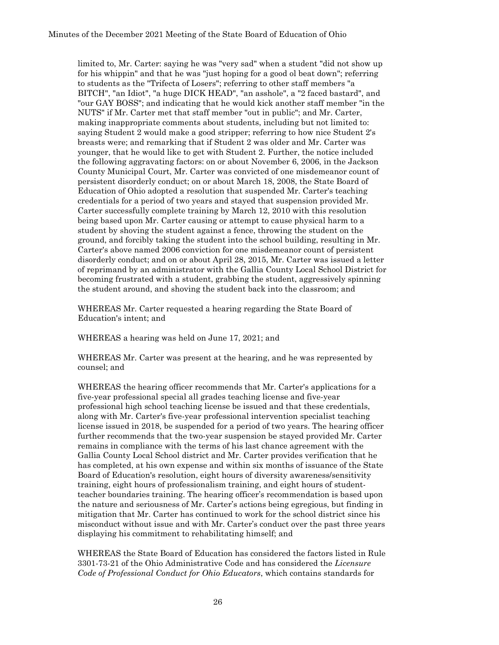limited to, Mr. Carter: saying he was "very sad" when a student "did not show up for his whippin" and that he was "just hoping for a good ol beat down"; referring to students as the "Trifecta of Losers"; referring to other staff members "a BITCH", "an Idiot", "a huge DICK HEAD", "an asshole", a "2 faced bastard", and "our GAY BOSS"; and indicating that he would kick another staff member "in the NUTS" if Mr. Carter met that staff member "out in public"; and Mr. Carter, making inappropriate comments about students, including but not limited to: saying Student 2 would make a good stripper; referring to how nice Student 2's breasts were; and remarking that if Student 2 was older and Mr. Carter was younger, that he would like to get with Student 2. Further, the notice included the following aggravating factors: on or about November 6, 2006, in the Jackson County Municipal Court, Mr. Carter was convicted of one misdemeanor count of persistent disorderly conduct; on or about March 18, 2008, the State Board of Education of Ohio adopted a resolution that suspended Mr. Carter's teaching credentials for a period of two years and stayed that suspension provided Mr. Carter successfully complete training by March 12, 2010 with this resolution being based upon Mr. Carter causing or attempt to cause physical harm to a student by shoving the student against a fence, throwing the student on the ground, and forcibly taking the student into the school building, resulting in Mr. Carter's above named 2006 conviction for one misdemeanor count of persistent disorderly conduct; and on or about April 28, 2015, Mr. Carter was issued a letter of reprimand by an administrator with the Gallia County Local School District for becoming frustrated with a student, grabbing the student, aggressively spinning the student around, and shoving the student back into the classroom; and

WHEREAS Mr. Carter requested a hearing regarding the State Board of Education's intent; and

WHEREAS a hearing was held on June 17, 2021; and

WHEREAS Mr. Carter was present at the hearing, and he was represented by counsel; and

WHEREAS the hearing officer recommends that Mr. Carter's applications for a five-year professional special all grades teaching license and five-year professional high school teaching license be issued and that these credentials, along with Mr. Carter's five-year professional intervention specialist teaching license issued in 2018, be suspended for a period of two years. The hearing officer further recommends that the two-year suspension be stayed provided Mr. Carter remains in compliance with the terms of his last chance agreement with the Gallia County Local School district and Mr. Carter provides verification that he has completed, at his own expense and within six months of issuance of the State Board of Education's resolution, eight hours of diversity awareness/sensitivity training, eight hours of professionalism training, and eight hours of studentteacher boundaries training. The hearing officer's recommendation is based upon the nature and seriousness of Mr. Carter's actions being egregious, but finding in mitigation that Mr. Carter has continued to work for the school district since his misconduct without issue and with Mr. Carter's conduct over the past three years displaying his commitment to rehabilitating himself; and

WHEREAS the State Board of Education has considered the factors listed in Rule 3301-73-21 of the Ohio Administrative Code and has considered the *Licensure Code of Professional Conduct for Ohio Educators*, which contains standards for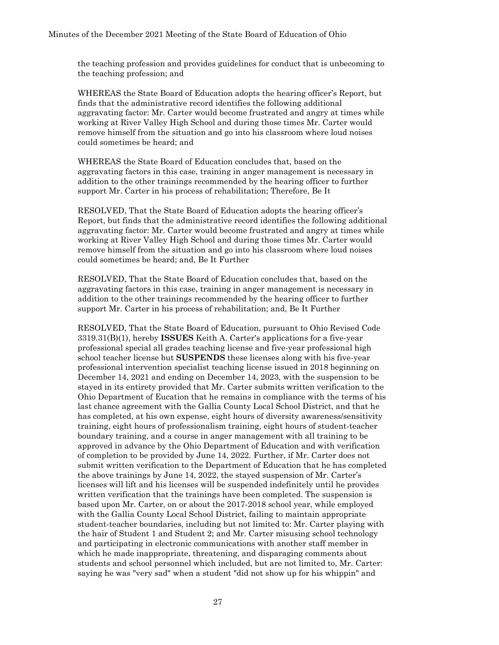the teaching profession and provides guidelines for conduct that is unbecoming to the teaching profession; and

WHEREAS the State Board of Education adopts the hearing officer's Report, but finds that the administrative record identifies the following additional aggravating factor: Mr. Carter would become frustrated and angry at times while working at River Valley High School and during those times Mr. Carter would remove himself from the situation and go into his classroom where loud noises could sometimes be heard; and

WHEREAS the State Board of Education concludes that, based on the aggravating factors in this case, training in anger management is necessary in addition to the other trainings recommended by the hearing officer to further support Mr. Carter in his process of rehabilitation; Therefore, Be It

RESOLVED, That the State Board of Education adopts the hearing officer's Report, but finds that the administrative record identifies the following additional aggravating factor: Mr. Carter would become frustrated and angry at times while working at River Valley High School and during those times Mr. Carter would remove himself from the situation and go into his classroom where loud noises could sometimes be heard; and, Be It Further

RESOLVED, That the State Board of Education concludes that, based on the aggravating factors in this case, training in anger management is necessary in addition to the other trainings recommended by the hearing officer to further support Mr. Carter in his process of rehabilitation; and, Be It Further

RESOLVED, That the State Board of Education, pursuant to Ohio Revised Code 3319.31(B)(1), hereby **ISSUES** Keith A. Carter's applications for a five-year professional special all grades teaching license and five-year professional high school teacher license but **SUSPENDS** these licenses along with his five-year professional intervention specialist teaching license issued in 2018 beginning on December 14, 2021 and ending on December 14, 2023, with the suspension to be stayed in its entirety provided that Mr. Carter submits written verification to the Ohio Department of Eucation that he remains in compliance with the terms of his last chance agreement with the Gallia County Local School District, and that he has completed, at his own expense, eight hours of diversity awareness/sensitivity training, eight hours of professionalism training, eight hours of student-teacher boundary training, and a course in anger management with all training to be approved in advance by the Ohio Department of Education and with verification of completion to be provided by June 14, 2022. Further, if Mr. Carter does not submit written verification to the Department of Education that he has completed the above trainings by June 14, 2022, the stayed suspension of Mr. Carter's licenses will lift and his licenses will be suspended indefinitely until he provides written verification that the trainings have been completed. The suspension is based upon Mr. Carter, on or about the 2017-2018 school year, while employed with the Gallia County Local School District, failing to maintain appropriate student-teacher boundaries, including but not limited to: Mr. Carter playing with the hair of Student 1 and Student 2; and Mr. Carter misusing school technology and participating in electronic communications with another staff member in which he made inappropriate, threatening, and disparaging comments about students and school personnel which included, but are not limited to, Mr. Carter: saying he was "very sad" when a student "did not show up for his whippin" and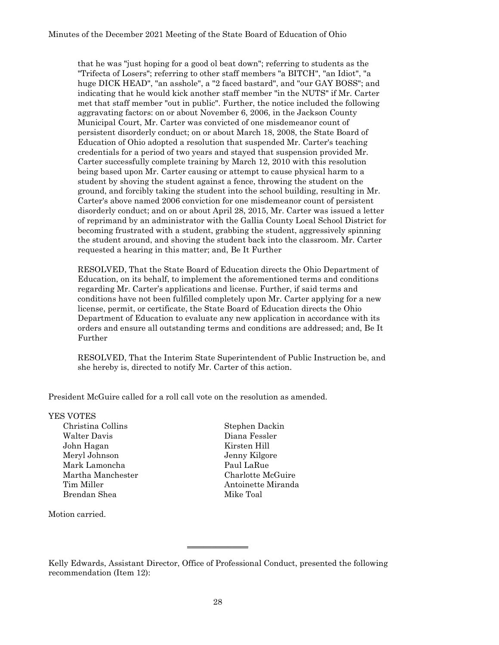that he was "just hoping for a good ol beat down"; referring to students as the "Trifecta of Losers"; referring to other staff members "a BITCH", "an Idiot", "a huge DICK HEAD", "an asshole", a "2 faced bastard", and "our GAY BOSS"; and indicating that he would kick another staff member "in the NUTS" if Mr. Carter met that staff member "out in public". Further, the notice included the following aggravating factors: on or about November 6, 2006, in the Jackson County Municipal Court, Mr. Carter was convicted of one misdemeanor count of persistent disorderly conduct; on or about March 18, 2008, the State Board of Education of Ohio adopted a resolution that suspended Mr. Carter's teaching credentials for a period of two years and stayed that suspension provided Mr. Carter successfully complete training by March 12, 2010 with this resolution being based upon Mr. Carter causing or attempt to cause physical harm to a student by shoving the student against a fence, throwing the student on the ground, and forcibly taking the student into the school building, resulting in Mr. Carter's above named 2006 conviction for one misdemeanor count of persistent disorderly conduct; and on or about April 28, 2015, Mr. Carter was issued a letter of reprimand by an administrator with the Gallia County Local School District for becoming frustrated with a student, grabbing the student, aggressively spinning the student around, and shoving the student back into the classroom. Mr. Carter requested a hearing in this matter; and, Be It Further

RESOLVED, That the State Board of Education directs the Ohio Department of Education, on its behalf, to implement the aforementioned terms and conditions regarding Mr. Carter's applications and license. Further, if said terms and conditions have not been fulfilled completely upon Mr. Carter applying for a new license, permit, or certificate, the State Board of Education directs the Ohio Department of Education to evaluate any new application in accordance with its orders and ensure all outstanding terms and conditions are addressed; and, Be It Further

RESOLVED, That the Interim State Superintendent of Public Instruction be, and she hereby is, directed to notify Mr. Carter of this action.

President McGuire called for a roll call vote on the resolution as amended.

YES VOTES

Walter Davis Diana Fessler John Hagan Kirsten Hill Meryl Johnson Jenny Kilgore Mark Lamoncha **Paul LaRue** Martha Manchester Charlotte McGuire Tim Miller **Antoinette Miranda** Brendan Shea Mike Toal

Christina Collins Stephen Dackin

Motion carried.

Kelly Edwards, Assistant Director, Office of Professional Conduct, presented the following recommendation (Item 12):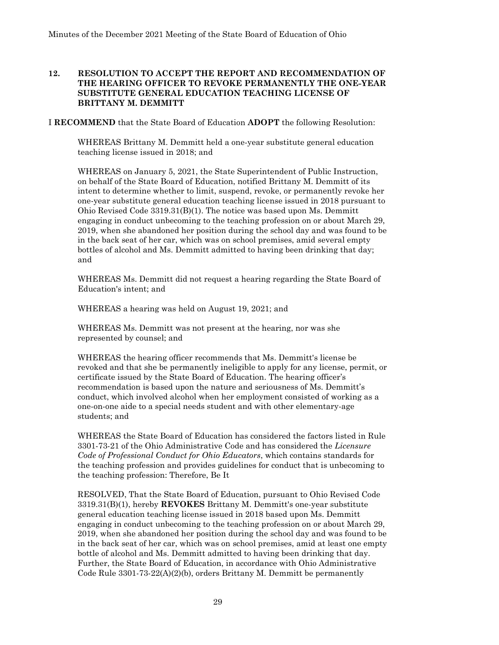### **12. RESOLUTION TO ACCEPT THE REPORT AND RECOMMENDATION OF THE HEARING OFFICER TO REVOKE PERMANENTLY THE ONE-YEAR SUBSTITUTE GENERAL EDUCATION TEACHING LICENSE OF BRITTANY M. DEMMITT**

I **RECOMMEND** that the State Board of Education **ADOPT** the following Resolution:

WHEREAS Brittany M. Demmitt held a one-year substitute general education teaching license issued in 2018; and

WHEREAS on January 5, 2021, the State Superintendent of Public Instruction, on behalf of the State Board of Education, notified Brittany M. Demmitt of its intent to determine whether to limit, suspend, revoke, or permanently revoke her one-year substitute general education teaching license issued in 2018 pursuant to Ohio Revised Code 3319.31(B)(1). The notice was based upon Ms. Demmitt engaging in conduct unbecoming to the teaching profession on or about March 29, 2019, when she abandoned her position during the school day and was found to be in the back seat of her car, which was on school premises, amid several empty bottles of alcohol and Ms. Demmitt admitted to having been drinking that day; and

WHEREAS Ms. Demmitt did not request a hearing regarding the State Board of Education's intent; and

WHEREAS a hearing was held on August 19, 2021; and

WHEREAS Ms. Demmitt was not present at the hearing, nor was she represented by counsel; and

WHEREAS the hearing officer recommends that Ms. Demmitt's license be revoked and that she be permanently ineligible to apply for any license, permit, or certificate issued by the State Board of Education. The hearing officer's recommendation is based upon the nature and seriousness of Ms. Demmitt's conduct, which involved alcohol when her employment consisted of working as a one-on-one aide to a special needs student and with other elementary-age students; and

WHEREAS the State Board of Education has considered the factors listed in Rule 3301-73-21 of the Ohio Administrative Code and has considered the *Licensure Code of Professional Conduct for Ohio Educators*, which contains standards for the teaching profession and provides guidelines for conduct that is unbecoming to the teaching profession: Therefore, Be It

RESOLVED, That the State Board of Education, pursuant to Ohio Revised Code 3319.31(B)(1), hereby **REVOKES** Brittany M. Demmitt's one-year substitute general education teaching license issued in 2018 based upon Ms. Demmitt engaging in conduct unbecoming to the teaching profession on or about March 29, 2019, when she abandoned her position during the school day and was found to be in the back seat of her car, which was on school premises, amid at least one empty bottle of alcohol and Ms. Demmitt admitted to having been drinking that day. Further, the State Board of Education, in accordance with Ohio Administrative Code Rule 3301-73-22(A)(2)(b), orders Brittany M. Demmitt be permanently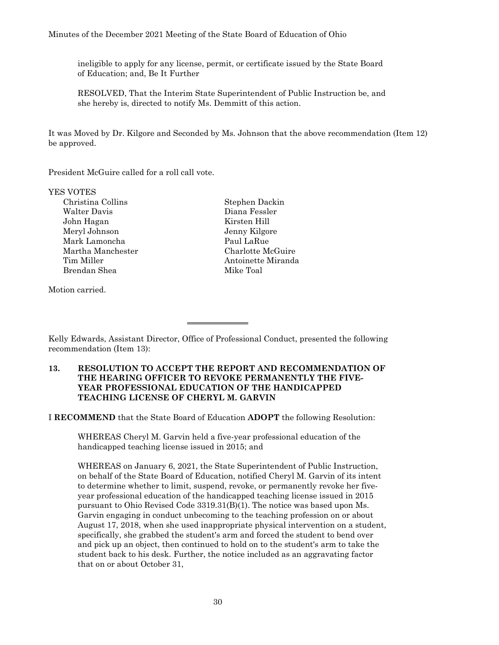ineligible to apply for any license, permit, or certificate issued by the State Board of Education; and, Be It Further

RESOLVED, That the Interim State Superintendent of Public Instruction be, and she hereby is, directed to notify Ms. Demmitt of this action.

It was Moved by Dr. Kilgore and Seconded by Ms. Johnson that the above recommendation (Item 12) be approved.

President McGuire called for a roll call vote.

YES VOTES

Christina Collins Stephen Dackin Walter Davis Diana Fessler John Hagan Kirsten Hill Meryl Johnson Jenny Kilgore Mark Lamoncha **Paul LaRue** Martha Manchester Charlotte McGuire Tim Miller **Antoinette Miranda** Brendan Shea Mike Toal

Motion carried.

Kelly Edwards, Assistant Director, Office of Professional Conduct, presented the following recommendation (Item 13):

 $\overline{\phantom{a}}$  , where  $\overline{\phantom{a}}$ 

#### **13. RESOLUTION TO ACCEPT THE REPORT AND RECOMMENDATION OF THE HEARING OFFICER TO REVOKE PERMANENTLY THE FIVE-YEAR PROFESSIONAL EDUCATION OF THE HANDICAPPED TEACHING LICENSE OF CHERYL M. GARVIN**

I **RECOMMEND** that the State Board of Education **ADOPT** the following Resolution:

WHEREAS Cheryl M. Garvin held a five-year professional education of the handicapped teaching license issued in 2015; and

WHEREAS on January 6, 2021, the State Superintendent of Public Instruction, on behalf of the State Board of Education, notified Cheryl M. Garvin of its intent to determine whether to limit, suspend, revoke, or permanently revoke her fiveyear professional education of the handicapped teaching license issued in 2015 pursuant to Ohio Revised Code 3319.31(B)(1). The notice was based upon Ms. Garvin engaging in conduct unbecoming to the teaching profession on or about August 17, 2018, when she used inappropriate physical intervention on a student, specifically, she grabbed the student's arm and forced the student to bend over and pick up an object, then continued to hold on to the student's arm to take the student back to his desk. Further, the notice included as an aggravating factor that on or about October 31,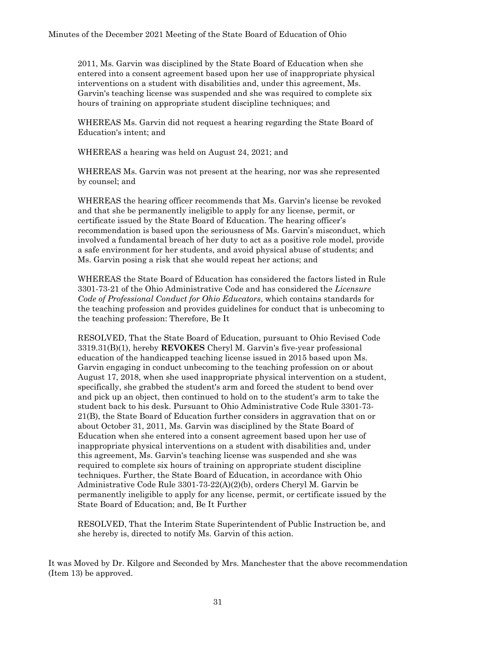2011, Ms. Garvin was disciplined by the State Board of Education when she entered into a consent agreement based upon her use of inappropriate physical interventions on a student with disabilities and, under this agreement, Ms. Garvin's teaching license was suspended and she was required to complete six hours of training on appropriate student discipline techniques; and

WHEREAS Ms. Garvin did not request a hearing regarding the State Board of Education's intent; and

WHEREAS a hearing was held on August 24, 2021; and

WHEREAS Ms. Garvin was not present at the hearing, nor was she represented by counsel; and

WHEREAS the hearing officer recommends that Ms. Garvin's license be revoked and that she be permanently ineligible to apply for any license, permit, or certificate issued by the State Board of Education. The hearing officer's recommendation is based upon the seriousness of Ms. Garvin's misconduct, which involved a fundamental breach of her duty to act as a positive role model, provide a safe environment for her students, and avoid physical abuse of students; and Ms. Garvin posing a risk that she would repeat her actions; and

WHEREAS the State Board of Education has considered the factors listed in Rule 3301-73-21 of the Ohio Administrative Code and has considered the *Licensure Code of Professional Conduct for Ohio Educators*, which contains standards for the teaching profession and provides guidelines for conduct that is unbecoming to the teaching profession: Therefore, Be It

RESOLVED, That the State Board of Education, pursuant to Ohio Revised Code 3319.31(B)(1), hereby **REVOKES** Cheryl M. Garvin's five-year professional education of the handicapped teaching license issued in 2015 based upon Ms. Garvin engaging in conduct unbecoming to the teaching profession on or about August 17, 2018, when she used inappropriate physical intervention on a student, specifically, she grabbed the student's arm and forced the student to bend over and pick up an object, then continued to hold on to the student's arm to take the student back to his desk. Pursuant to Ohio Administrative Code Rule 3301-73- 21(B), the State Board of Education further considers in aggravation that on or about October 31, 2011, Ms. Garvin was disciplined by the State Board of Education when she entered into a consent agreement based upon her use of inappropriate physical interventions on a student with disabilities and, under this agreement, Ms. Garvin's teaching license was suspended and she was required to complete six hours of training on appropriate student discipline techniques. Further, the State Board of Education, in accordance with Ohio Administrative Code Rule 3301-73-22(A)(2)(b), orders Cheryl M. Garvin be permanently ineligible to apply for any license, permit, or certificate issued by the State Board of Education; and, Be It Further

RESOLVED, That the Interim State Superintendent of Public Instruction be, and she hereby is, directed to notify Ms. Garvin of this action.

It was Moved by Dr. Kilgore and Seconded by Mrs. Manchester that the above recommendation (Item 13) be approved.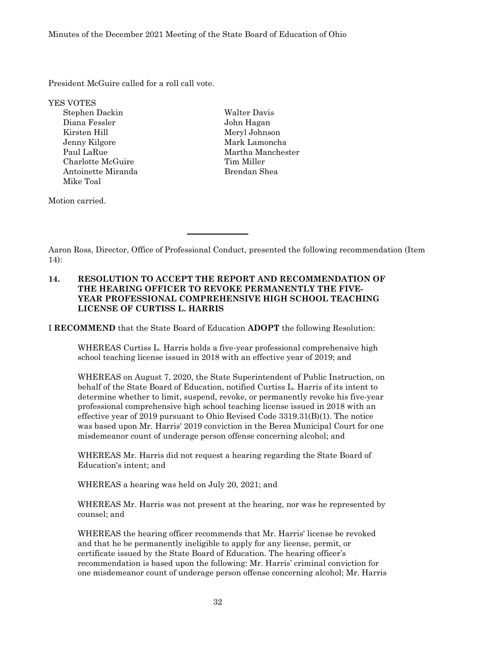President McGuire called for a roll call vote.

YES VOTES

Stephen Dackin Walter Davis Diana Fessler John Hagan Kirsten Hill Meryl Johnson Jenny Kilgore Mark Lamoncha Paul LaRue Martha Manchester Charlotte McGuire Tim Miller Antoinette Miranda Brendan Shea Mike Toal

Motion carried.

Aaron Ross, Director, Office of Professional Conduct, presented the following recommendation (Item 14):

#### **14. RESOLUTION TO ACCEPT THE REPORT AND RECOMMENDATION OF THE HEARING OFFICER TO REVOKE PERMANENTLY THE FIVE-YEAR PROFESSIONAL COMPREHENSIVE HIGH SCHOOL TEACHING LICENSE OF CURTISS L. HARRIS**

\_\_\_\_\_\_\_\_\_\_\_\_\_\_\_

I **RECOMMEND** that the State Board of Education **ADOPT** the following Resolution:

WHEREAS Curtiss L. Harris holds a five-year professional comprehensive high school teaching license issued in 2018 with an effective year of 2019; and

WHEREAS on August 7, 2020, the State Superintendent of Public Instruction, on behalf of the State Board of Education, notified Curtiss L. Harris of its intent to determine whether to limit, suspend, revoke, or permanently revoke his five-year professional comprehensive high school teaching license issued in 2018 with an effective year of 2019 pursuant to Ohio Revised Code 3319.31(B)(1). The notice was based upon Mr. Harris' 2019 conviction in the Berea Municipal Court for one misdemeanor count of underage person offense concerning alcohol; and

WHEREAS Mr. Harris did not request a hearing regarding the State Board of Education's intent; and

WHEREAS a hearing was held on July 20, 2021; and

WHEREAS Mr. Harris was not present at the hearing, nor was he represented by counsel; and

WHEREAS the hearing officer recommends that Mr. Harris' license be revoked and that he be permanently ineligible to apply for any license, permit, or certificate issued by the State Board of Education. The hearing officer's recommendation is based upon the following: Mr. Harris' criminal conviction for one misdemeanor count of underage person offense concerning alcohol; Mr. Harris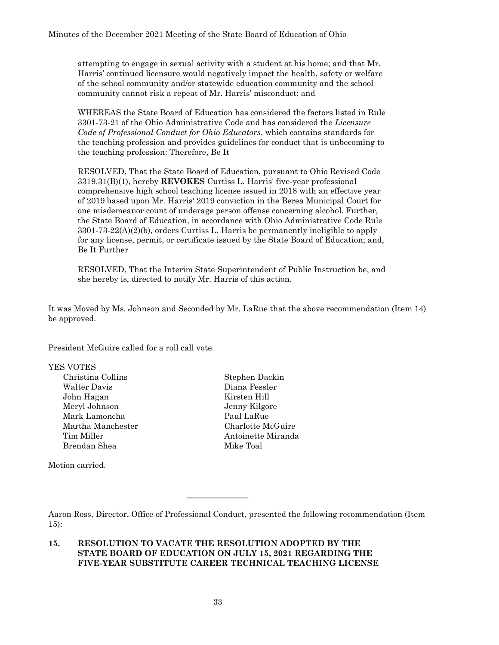attempting to engage in sexual activity with a student at his home; and that Mr. Harris' continued licensure would negatively impact the health, safety or welfare of the school community and/or statewide education community and the school community cannot risk a repeat of Mr. Harris' misconduct; and

WHEREAS the State Board of Education has considered the factors listed in Rule 3301-73-21 of the Ohio Administrative Code and has considered the *Licensure Code of Professional Conduct for Ohio Educators*, which contains standards for the teaching profession and provides guidelines for conduct that is unbecoming to the teaching profession: Therefore, Be It

RESOLVED, That the State Board of Education, pursuant to Ohio Revised Code 3319.31(B)(1), hereby **REVOKES** Curtiss L. Harris' five-year professional comprehensive high school teaching license issued in 2018 with an effective year of 2019 based upon Mr. Harris' 2019 conviction in the Berea Municipal Court for one misdemeanor count of underage person offense concerning alcohol. Further, the State Board of Education, in accordance with Ohio Administrative Code Rule 3301-73-22(A)(2)(b), orders Curtiss L. Harris be permanently ineligible to apply for any license, permit, or certificate issued by the State Board of Education; and, Be It Further

RESOLVED, That the Interim State Superintendent of Public Instruction be, and she hereby is, directed to notify Mr. Harris of this action.

It was Moved by Ms. Johnson and Seconded by Mr. LaRue that the above recommendation (Item 14) be approved.

President McGuire called for a roll call vote.

#### YES VOTES

Christina Collins Stephen Dackin Walter Davis Diana Fessler John Hagan Kirsten Hill Meryl Johnson Jenny Kilgore Mark Lamoncha Paul LaRue Martha Manchester Charlotte McGuire Tim Miller **Antoinette Miranda** Brendan Shea Mike Toal

Motion carried.

Aaron Ross, Director, Office of Professional Conduct, presented the following recommendation (Item 15):

#### **15. RESOLUTION TO VACATE THE RESOLUTION ADOPTED BY THE STATE BOARD OF EDUCATION ON JULY 15, 2021 REGARDING THE FIVE-YEAR SUBSTITUTE CAREER TECHNICAL TEACHING LICENSE**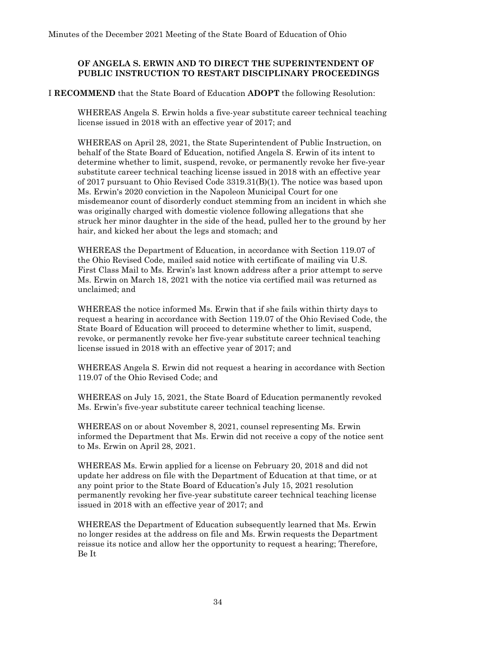#### **OF ANGELA S. ERWIN AND TO DIRECT THE SUPERINTENDENT OF PUBLIC INSTRUCTION TO RESTART DISCIPLINARY PROCEEDINGS**

#### I **RECOMMEND** that the State Board of Education **ADOPT** the following Resolution:

WHEREAS Angela S. Erwin holds a five-year substitute career technical teaching license issued in 2018 with an effective year of 2017; and

WHEREAS on April 28, 2021, the State Superintendent of Public Instruction, on behalf of the State Board of Education, notified Angela S. Erwin of its intent to determine whether to limit, suspend, revoke, or permanently revoke her five-year substitute career technical teaching license issued in 2018 with an effective year of 2017 pursuant to Ohio Revised Code 3319.31(B)(1). The notice was based upon Ms. Erwin's 2020 conviction in the Napoleon Municipal Court for one misdemeanor count of disorderly conduct stemming from an incident in which she was originally charged with domestic violence following allegations that she struck her minor daughter in the side of the head, pulled her to the ground by her hair, and kicked her about the legs and stomach; and

WHEREAS the Department of Education, in accordance with Section 119.07 of the Ohio Revised Code, mailed said notice with certificate of mailing via U.S. First Class Mail to Ms. Erwin's last known address after a prior attempt to serve Ms. Erwin on March 18, 2021 with the notice via certified mail was returned as unclaimed; and

WHEREAS the notice informed Ms. Erwin that if she fails within thirty days to request a hearing in accordance with Section 119.07 of the Ohio Revised Code, the State Board of Education will proceed to determine whether to limit, suspend, revoke, or permanently revoke her five-year substitute career technical teaching license issued in 2018 with an effective year of 2017; and

WHEREAS Angela S. Erwin did not request a hearing in accordance with Section 119.07 of the Ohio Revised Code; and

WHEREAS on July 15, 2021, the State Board of Education permanently revoked Ms. Erwin's five-year substitute career technical teaching license.

WHEREAS on or about November 8, 2021, counsel representing Ms. Erwin informed the Department that Ms. Erwin did not receive a copy of the notice sent to Ms. Erwin on April 28, 2021.

WHEREAS Ms. Erwin applied for a license on February 20, 2018 and did not update her address on file with the Department of Education at that time, or at any point prior to the State Board of Education's July 15, 2021 resolution permanently revoking her five-year substitute career technical teaching license issued in 2018 with an effective year of 2017; and

WHEREAS the Department of Education subsequently learned that Ms. Erwin no longer resides at the address on file and Ms. Erwin requests the Department reissue its notice and allow her the opportunity to request a hearing; Therefore, Be It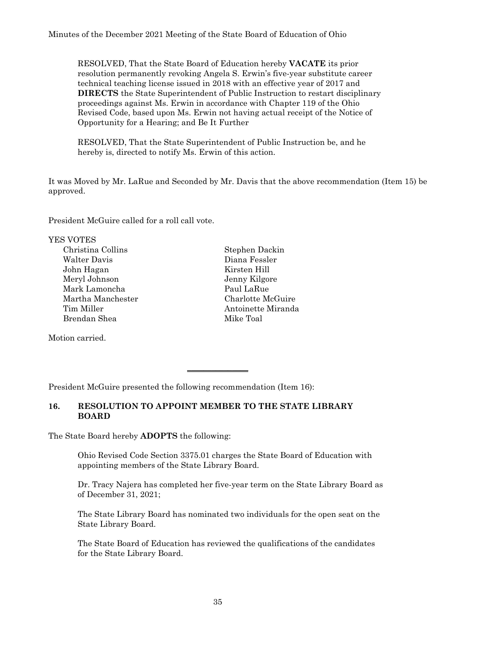RESOLVED, That the State Board of Education hereby **VACATE** its prior resolution permanently revoking Angela S. Erwin's five-year substitute career technical teaching license issued in 2018 with an effective year of 2017 and **DIRECTS** the State Superintendent of Public Instruction to restart disciplinary proceedings against Ms. Erwin in accordance with Chapter 119 of the Ohio Revised Code, based upon Ms. Erwin not having actual receipt of the Notice of Opportunity for a Hearing; and Be It Further

RESOLVED, That the State Superintendent of Public Instruction be, and he hereby is, directed to notify Ms. Erwin of this action.

It was Moved by Mr. LaRue and Seconded by Mr. Davis that the above recommendation (Item 15) be approved.

President McGuire called for a roll call vote.

YES VOTES

Christina Collins Stephen Dackin Walter Davis Diana Fessler John Hagan Kirsten Hill Meryl Johnson Jenny Kilgore Mark Lamoncha **Paul LaRue** Martha Manchester Charlotte McGuire Brendan Shea Mike Toal

Motion carried.

Tim Miller **Antoinette Miranda** 

President McGuire presented the following recommendation (Item 16):

#### **16. RESOLUTION TO APPOINT MEMBER TO THE STATE LIBRARY BOARD**

 $\overline{\phantom{a}}$  , where  $\overline{\phantom{a}}$ 

The State Board hereby **ADOPTS** the following:

Ohio Revised Code Section 3375.01 charges the State Board of Education with appointing members of the State Library Board.

Dr. Tracy Najera has completed her five-year term on the State Library Board as of December 31, 2021;

The State Library Board has nominated two individuals for the open seat on the State Library Board.

The State Board of Education has reviewed the qualifications of the candidates for the State Library Board.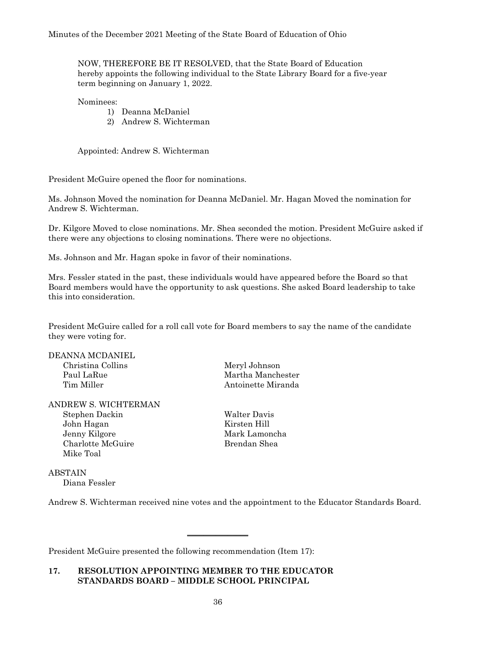NOW, THEREFORE BE IT RESOLVED, that the State Board of Education hereby appoints the following individual to the State Library Board for a five-year term beginning on January 1, 2022.

#### Nominees:

- 1) Deanna McDaniel
- 2) Andrew S. Wichterman

Appointed: Andrew S. Wichterman

President McGuire opened the floor for nominations.

Ms. Johnson Moved the nomination for Deanna McDaniel. Mr. Hagan Moved the nomination for Andrew S. Wichterman.

Dr. Kilgore Moved to close nominations. Mr. Shea seconded the motion. President McGuire asked if there were any objections to closing nominations. There were no objections.

Ms. Johnson and Mr. Hagan spoke in favor of their nominations.

Mrs. Fessler stated in the past, these individuals would have appeared before the Board so that Board members would have the opportunity to ask questions. She asked Board leadership to take this into consideration.

President McGuire called for a roll call vote for Board members to say the name of the candidate they were voting for.

DEANNA MCDANIEL Christina Collins Meryl Johnson

#### ANDREW S. WICHTERMAN Stephen Dackin Walter Davis John Hagan Kirsten Hill Jenny Kilgore Mark Lamoncha

Charlotte McGuire **Brendan** Shea Mike Toal

Diana Fessler

ABSTAIN

Paul LaRue Martha Manchester Tim Miller **Antoinette Miranda** 

# Andrew S. Wichterman received nine votes and the appointment to the Educator Standards Board.

 $\overline{\phantom{a}}$  , where  $\overline{\phantom{a}}$ 

President McGuire presented the following recommendation (Item 17):

#### **17. RESOLUTION APPOINTING MEMBER TO THE EDUCATOR STANDARDS BOARD – MIDDLE SCHOOL PRINCIPAL**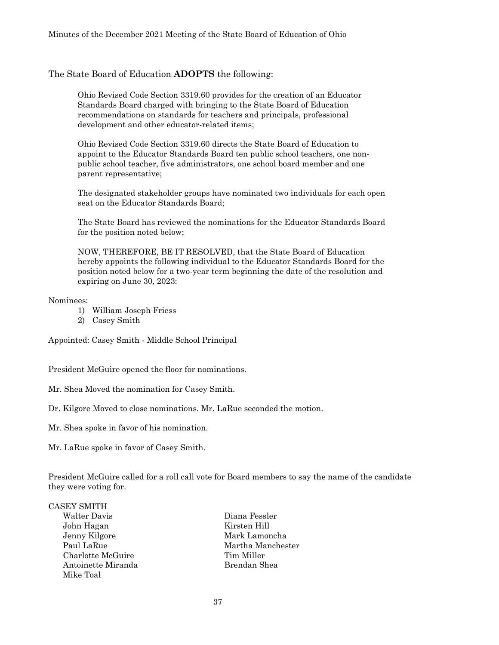#### The State Board of Education **ADOPTS** the following:

Ohio Revised Code Section 3319.60 provides for the creation of an Educator Standards Board charged with bringing to the State Board of Education recommendations on standards for teachers and principals, professional development and other educator-related items;

Ohio Revised Code Section 3319.60 directs the State Board of Education to appoint to the Educator Standards Board ten public school teachers, one nonpublic school teacher, five administrators, one school board member and one parent representative;

The designated stakeholder groups have nominated two individuals for each open seat on the Educator Standards Board;

The State Board has reviewed the nominations for the Educator Standards Board for the position noted below;

NOW, THEREFORE, BE IT RESOLVED, that the State Board of Education hereby appoints the following individual to the Educator Standards Board for the position noted below for a two-year term beginning the date of the resolution and expiring on June 30, 2023:

#### Nominees:

- 1) William Joseph Friess
- 2) Casey Smith

Appointed: Casey Smith - Middle School Principal

President McGuire opened the floor for nominations.

Mr. Shea Moved the nomination for Casey Smith.

Dr. Kilgore Moved to close nominations. Mr. LaRue seconded the motion.

Mr. Shea spoke in favor of his nomination.

Mr. LaRue spoke in favor of Casey Smith.

President McGuire called for a roll call vote for Board members to say the name of the candidate they were voting for.

#### CASEY SMITH

Walter Davis Diana Fessler John Hagan Kirsten Hill Jenny Kilgore Mark Lamoncha Charlotte McGuire Tim Miller Antoinette Miranda Brendan Shea Mike Toal

Paul LaRue Martha Manchester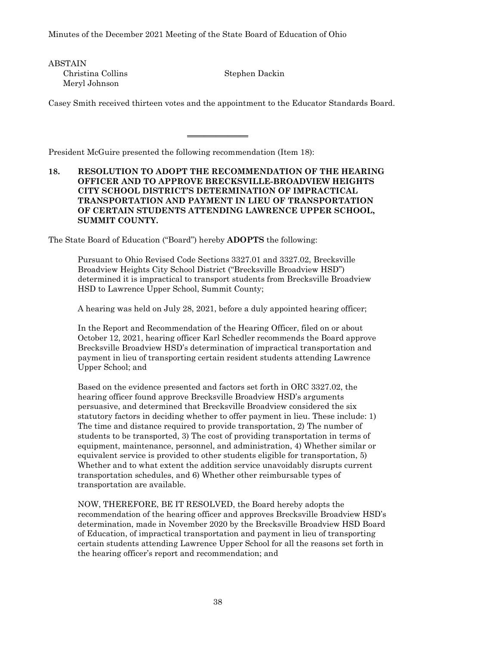ABSTAIN Christina Collins Stephen Dackin Meryl Johnson

Casey Smith received thirteen votes and the appointment to the Educator Standards Board.

 $\overline{\phantom{a}}$  , where  $\overline{\phantom{a}}$  , where  $\overline{\phantom{a}}$ 

President McGuire presented the following recommendation (Item 18):

# **18. RESOLUTION TO ADOPT THE RECOMMENDATION OF THE HEARING OFFICER AND TO APPROVE BRECKSVILLE-BROADVIEW HEIGHTS CITY SCHOOL DISTRICT'S DETERMINATION OF IMPRACTICAL TRANSPORTATION AND PAYMENT IN LIEU OF TRANSPORTATION OF CERTAIN STUDENTS ATTENDING LAWRENCE UPPER SCHOOL, SUMMIT COUNTY.**

The State Board of Education ("Board") hereby **ADOPTS** the following:

Pursuant to Ohio Revised Code Sections 3327.01 and 3327.02, Brecksville Broadview Heights City School District ("Brecksville Broadview HSD") determined it is impractical to transport students from Brecksville Broadview HSD to Lawrence Upper School, Summit County;

A hearing was held on July 28, 2021, before a duly appointed hearing officer;

In the Report and Recommendation of the Hearing Officer, filed on or about October 12, 2021, hearing officer Karl Schedler recommends the Board approve Brecksville Broadview HSD's determination of impractical transportation and payment in lieu of transporting certain resident students attending Lawrence Upper School; and

Based on the evidence presented and factors set forth in ORC 3327.02, the hearing officer found approve Brecksville Broadview HSD's arguments persuasive, and determined that Brecksville Broadview considered the six statutory factors in deciding whether to offer payment in lieu. These include: 1) The time and distance required to provide transportation, 2) The number of students to be transported, 3) The cost of providing transportation in terms of equipment, maintenance, personnel, and administration, 4) Whether similar or equivalent service is provided to other students eligible for transportation, 5) Whether and to what extent the addition service unavoidably disrupts current transportation schedules, and 6) Whether other reimbursable types of transportation are available.

NOW, THEREFORE, BE IT RESOLVED, the Board hereby adopts the recommendation of the hearing officer and approves Brecksville Broadview HSD's determination, made in November 2020 by the Brecksville Broadview HSD Board of Education, of impractical transportation and payment in lieu of transporting certain students attending Lawrence Upper School for all the reasons set forth in the hearing officer's report and recommendation; and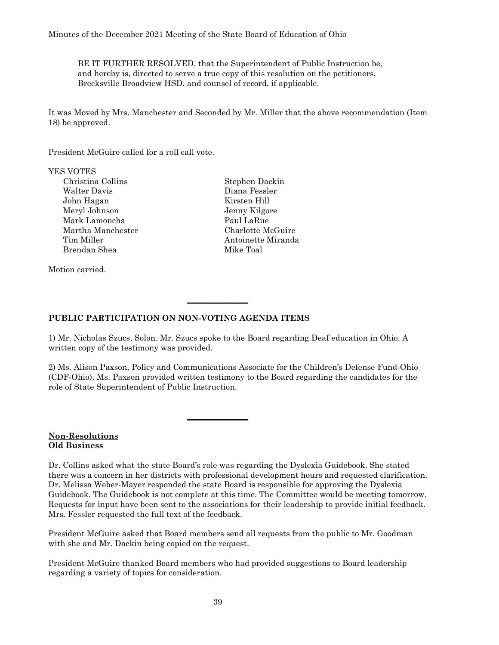BE IT FURTHER RESOLVED, that the Superintendent of Public Instruction be, and hereby is, directed to serve a true copy of this resolution on the petitioners, Brecksville Broadview HSD, and counsel of record, if applicable.

It was Moved by Mrs. Manchester and Seconded by Mr. Miller that the above recommendation (Item 18) be approved.

President McGuire called for a roll call vote.

#### YES VOTES

Christina Collins Stephen Dackin Walter Davis Diana Fessler John Hagan Kirsten Hill Meryl Johnson Jenny Kilgore Mark Lamoncha Paul LaRue Martha Manchester Charlotte McGuire Tim Miller **Antoinette Miranda** Brendan Shea Mike Toal

Motion carried.

### **PUBLIC PARTICIPATION ON NON-VOTING AGENDA ITEMS**

1) Mr. Nicholas Szucs, Solon. Mr. Szucs spoke to the Board regarding Deaf education in Ohio. A written copy of the testimony was provided.

 $\overline{\phantom{a}}$  , where  $\overline{\phantom{a}}$  , where  $\overline{\phantom{a}}$ 

 $\overline{\phantom{a}}$  , where  $\overline{\phantom{a}}$ 

2) Ms. Alison Paxson, Policy and Communications Associate for the Children's Defense Fund-Ohio (CDF-Ohio). Ms. Paxson provided written testimony to the Board regarding the candidates for the role of State Superintendent of Public Instruction.

#### **Non-Resolutions Old Business**

Dr. Collins asked what the state Board's role was regarding the Dyslexia Guidebook. She stated there was a concern in her districts with professional development hours and requested clarification. Dr. Melissa Weber-Mayer responded the state Board is responsible for approving the Dyslexia Guidebook. The Guidebook is not complete at this time. The Committee would be meeting tomorrow. Requests for input have been sent to the associations for their leadership to provide initial feedback. Mrs. Fessler requested the full text of the feedback.

President McGuire asked that Board members send all requests from the public to Mr. Goodman with she and Mr. Dackin being copied on the request.

President McGuire thanked Board members who had provided suggestions to Board leadership regarding a variety of topics for consideration.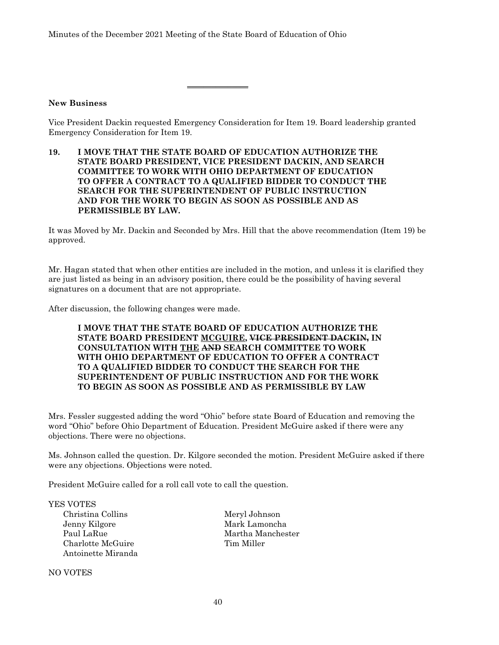#### **New Business**

Vice President Dackin requested Emergency Consideration for Item 19. Board leadership granted Emergency Consideration for Item 19.

**19. I MOVE THAT THE STATE BOARD OF EDUCATION AUTHORIZE THE STATE BOARD PRESIDENT, VICE PRESIDENT DACKIN, AND SEARCH COMMITTEE TO WORK WITH OHIO DEPARTMENT OF EDUCATION TO OFFER A CONTRACT TO A QUALIFIED BIDDER TO CONDUCT THE SEARCH FOR THE SUPERINTENDENT OF PUBLIC INSTRUCTION AND FOR THE WORK TO BEGIN AS SOON AS POSSIBLE AND AS PERMISSIBLE BY LAW.**

\_\_\_\_\_\_\_\_\_\_\_\_\_\_\_

It was Moved by Mr. Dackin and Seconded by Mrs. Hill that the above recommendation (Item 19) be approved.

Mr. Hagan stated that when other entities are included in the motion, and unless it is clarified they are just listed as being in an advisory position, there could be the possibility of having several signatures on a document that are not appropriate.

After discussion, the following changes were made.

#### **I MOVE THAT THE STATE BOARD OF EDUCATION AUTHORIZE THE STATE BOARD PRESIDENT MCGUIRE, VICE PRESIDENT DACKIN, IN CONSULTATION WITH THE AND SEARCH COMMITTEE TO WORK WITH OHIO DEPARTMENT OF EDUCATION TO OFFER A CONTRACT TO A QUALIFIED BIDDER TO CONDUCT THE SEARCH FOR THE SUPERINTENDENT OF PUBLIC INSTRUCTION AND FOR THE WORK TO BEGIN AS SOON AS POSSIBLE AND AS PERMISSIBLE BY LAW**

Mrs. Fessler suggested adding the word "Ohio" before state Board of Education and removing the word "Ohio" before Ohio Department of Education. President McGuire asked if there were any objections. There were no objections.

Ms. Johnson called the question. Dr. Kilgore seconded the motion. President McGuire asked if there were any objections. Objections were noted.

President McGuire called for a roll call vote to call the question.

YES VOTES Christina Collins Meryl Johnson<br>Jenny Kilgore Mark Lamonch Charlotte McGuire Tim Miller Antoinette Miranda

NO VOTES

Mark Lamoncha Paul LaRue Martha Manchester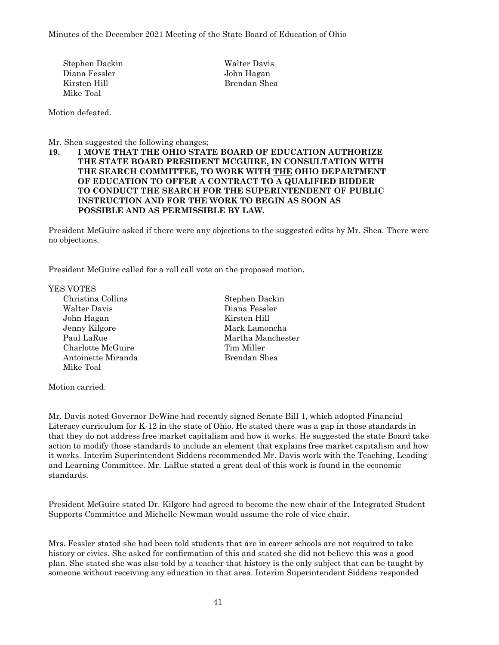Stephen Dackin Walter Davis Diana Fessler John Hagan Kirsten Hill Brendan Shea Mike Toal

Motion defeated.

Mr. Shea suggested the following changes;

#### **19. I MOVE THAT THE OHIO STATE BOARD OF EDUCATION AUTHORIZE THE STATE BOARD PRESIDENT MCGUIRE, IN CONSULTATION WITH THE SEARCH COMMITTEE, TO WORK WITH THE OHIO DEPARTMENT OF EDUCATION TO OFFER A CONTRACT TO A QUALIFIED BIDDER TO CONDUCT THE SEARCH FOR THE SUPERINTENDENT OF PUBLIC INSTRUCTION AND FOR THE WORK TO BEGIN AS SOON AS POSSIBLE AND AS PERMISSIBLE BY LAW.**

President McGuire asked if there were any objections to the suggested edits by Mr. Shea. There were no objections.

President McGuire called for a roll call vote on the proposed motion.

YES VOTES

- Christina Collins Stephen Dackin Walter Davis Diana Fessler John Hagan Kirsten Hill Jenny Kilgore Mark Lamoncha Paul LaRue Martha Manchester Charlotte McGuire Tim Miller Antoinette Miranda Brendan Shea Mike Toal
- 

Motion carried.

Mr. Davis noted Governor DeWine had recently signed Senate Bill 1, which adopted Financial Literacy curriculum for K-12 in the state of Ohio. He stated there was a gap in those standards in that they do not address free market capitalism and how it works. He suggested the state Board take action to modify those standards to include an element that explains free market capitalism and how it works. Interim Superintendent Siddens recommended Mr. Davis work with the Teaching, Leading and Learning Committee. Mr. LaRue stated a great deal of this work is found in the economic standards.

President McGuire stated Dr. Kilgore had agreed to become the new chair of the Integrated Student Supports Committee and Michelle Newman would assume the role of vice chair.

Mrs. Fessler stated she had been told students that are in career schools are not required to take history or civics. She asked for confirmation of this and stated she did not believe this was a good plan. She stated she was also told by a teacher that history is the only subject that can be taught by someone without receiving any education in that area. Interim Superintendent Siddens responded